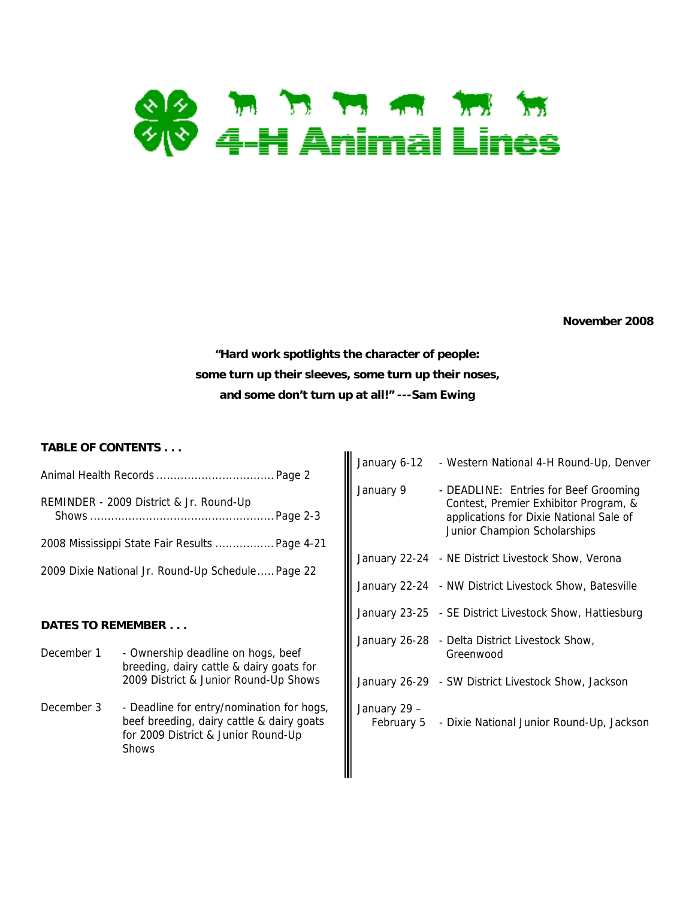

**November 2008** 

**"Hard work spotlights the character of people: some turn up their sleeves, some turn up their noses, and some don't turn up at all!" ---Sam Ewing** 

#### **TABLE OF CONTENTS . . .**

| , ADLL OF OON I LIVI J. |                                                              |                                                                                                                                                                                                                                                                                                                                                                 |                                                                                                                                                           |
|-------------------------|--------------------------------------------------------------|-----------------------------------------------------------------------------------------------------------------------------------------------------------------------------------------------------------------------------------------------------------------------------------------------------------------------------------------------------------------|-----------------------------------------------------------------------------------------------------------------------------------------------------------|
|                         |                                                              |                                                                                                                                                                                                                                                                                                                                                                 | - Western National 4-H Round-Up, Denver                                                                                                                   |
|                         |                                                              | January 9                                                                                                                                                                                                                                                                                                                                                       | - DEADLINE: Entries for Beef Grooming<br>Contest, Premier Exhibitor Program, &<br>applications for Dixie National Sale of<br>Junior Champion Scholarships |
|                         |                                                              |                                                                                                                                                                                                                                                                                                                                                                 | January 22-24 - NE District Livestock Show, Verona                                                                                                        |
|                         |                                                              |                                                                                                                                                                                                                                                                                                                                                                 | January 22-24 - NW District Livestock Show, Batesville                                                                                                    |
|                         |                                                              |                                                                                                                                                                                                                                                                                                                                                                 | January 23-25 - SE District Livestock Show, Hattiesburg                                                                                                   |
|                         |                                                              |                                                                                                                                                                                                                                                                                                                                                                 | January 26-28 - Delta District Livestock Show,<br>Greenwood                                                                                               |
|                         |                                                              |                                                                                                                                                                                                                                                                                                                                                                 | January 26-29 - SW District Livestock Show, Jackson                                                                                                       |
| <b>Shows</b>            |                                                              | January 29 -<br>February 5                                                                                                                                                                                                                                                                                                                                      | - Dixie National Junior Round-Up, Jackson                                                                                                                 |
|                         | REMINDER - 2009 District & Jr. Round-Up<br>DATES TO REMEMBER | 2008 Mississippi State Fair Results  Page 4-21<br>2009 Dixie National Jr. Round-Up Schedule Page 22<br>- Ownership deadline on hogs, beef<br>breeding, dairy cattle & dairy goats for<br>2009 District & Junior Round-Up Shows<br>- Deadline for entry/nomination for hogs,<br>beef breeding, dairy cattle & dairy goats<br>for 2009 District & Junior Round-Up | January 6-12                                                                                                                                              |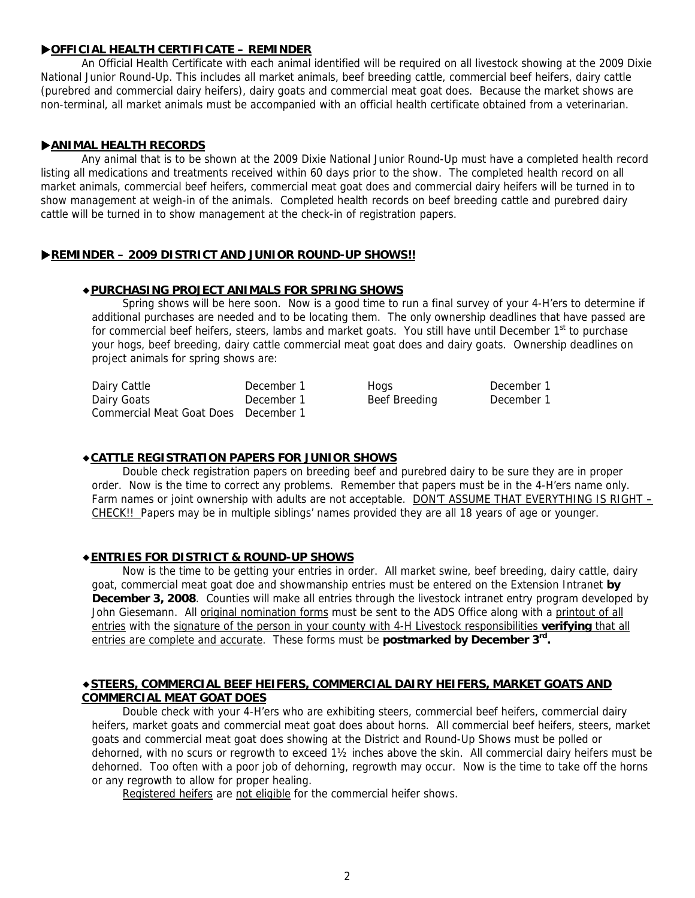#### X**OFFICIAL HEALTH CERTIFICATE – REMINDER**

An Official Health Certificate with each animal identified will be required on all livestock showing at the 2009 Dixie National Junior Round-Up. This includes all market animals, beef breeding cattle, commercial beef heifers, dairy cattle (purebred and commercial dairy heifers), dairy goats and commercial meat goat does. Because the market shows are non-terminal, all market animals must be accompanied with an official health certificate obtained from a veterinarian.

#### **EXAMINAL HEALTH RECORDS**

Any animal that is to be shown at the 2009 Dixie National Junior Round-Up must have a completed health record listing all medications and treatments received within 60 days prior to the show. The completed health record on all market animals, commercial beef heifers, commercial meat goat does and commercial dairy heifers will be turned in to show management at weigh-in of the animals. Completed health records on beef breeding cattle and purebred dairy cattle will be turned in to show management at the check-in of registration papers.

#### **REMINDER – 2009 DISTRICT AND JUNIOR ROUND-UP SHOWS!!**

#### ◆**PURCHASING PROJECT ANIMALS FOR SPRING SHOWS**

Spring shows will be here soon. Now is a good time to run a final survey of your 4-H'ers to determine if additional purchases are needed and to be locating them. The only ownership deadlines that have passed are for commercial beef heifers, steers, lambs and market goats. You still have until December 1<sup>st</sup> to purchase your hogs, beef breeding, dairy cattle commercial meat goat does and dairy goats. Ownership deadlines on project animals for spring shows are:

| Dairy Cattle                         | December 1 | Hogs          | December 1 |
|--------------------------------------|------------|---------------|------------|
| Dairy Goats                          | December 1 | Beef Breeding | December 1 |
| Commercial Meat Goat Does December 1 |            |               |            |

#### ◆**CATTLE REGISTRATION PAPERS FOR JUNIOR SHOWS**

 Double check registration papers on breeding beef and purebred dairy to be sure they are in proper order. Now is the time to correct any problems. Remember that papers must be in the 4-H'ers name only. Farm names or joint ownership with adults are not acceptable. DON'T ASSUME THAT EVERYTHING IS RIGHT -CHECK!! Papers may be in multiple siblings' names provided they are all 18 years of age or younger.

#### ◆**ENTRIES FOR DISTRICT & ROUND-UP SHOWS**

Now is the time to be getting your entries in order. All market swine, beef breeding, dairy cattle, dairy goat, commercial meat goat doe and showmanship entries must be entered on the Extension Intranet **by December 3, 2008**. Counties will make all entries through the livestock intranet entry program developed by John Giesemann. All original nomination forms must be sent to the ADS Office along with a printout of all entries with the signature of the person in your county with 4-H Livestock responsibilities **verifying** that all entries are complete and accurate. These forms must be **postmarked by December 3rd.** 

#### ◆**STEERS, COMMERCIAL BEEF HEIFERS, COMMERCIAL DAIRY HEIFERS, MARKET GOATS AND COMMERCIAL MEAT GOAT DOES**

Double check with your 4-H'ers who are exhibiting steers, commercial beef heifers, commercial dairy heifers, market goats and commercial meat goat does about horns. All commercial beef heifers, steers, market goats and commercial meat goat does showing at the District and Round-Up Shows must be polled or dehorned, with no scurs or regrowth to exceed 1½ inches above the skin. All commercial dairy heifers must be dehorned. Too often with a poor job of dehorning, regrowth may occur. Now is the time to take off the horns or any regrowth to allow for proper healing.

Registered heifers are not eligible for the commercial heifer shows.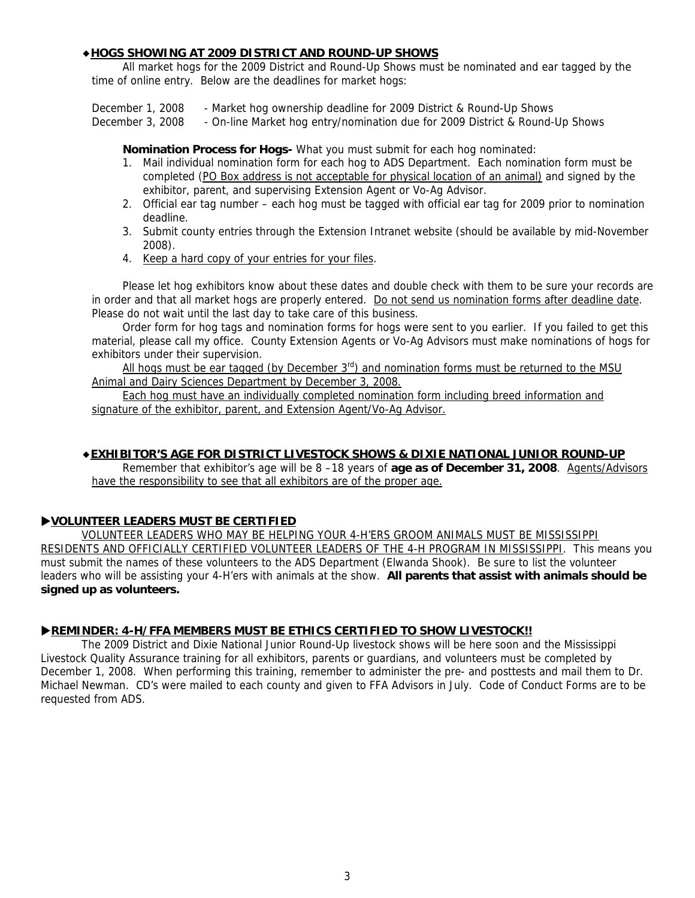#### ◆**HOGS SHOWING AT 2009 DISTRICT AND ROUND-UP SHOWS**

All market hogs for the 2009 District and Round-Up Shows must be nominated and ear tagged by the time of online entry. Below are the deadlines for market hogs:

December 1, 2008 - Market hog ownership deadline for 2009 District & Round-Up Shows

December 3, 2008 - On-line Market hog entry/nomination due for 2009 District & Round-Up Shows

**Nomination Process for Hogs-** What you must submit for each hog nominated:

- 1. Mail individual nomination form for each hog to ADS Department. Each nomination form must be completed (PO Box address is not acceptable for physical location of an animal) and signed by the exhibitor, parent, and supervising Extension Agent or Vo-Ag Advisor.
- 2. Official ear tag number each hog must be tagged with official ear tag for 2009 prior to nomination deadline.
- 3. Submit county entries through the Extension Intranet website (should be available by mid-November 2008).
- 4. Keep a hard copy of your entries for your files.

Please let hog exhibitors know about these dates and double check with them to be sure your records are in order and that all market hogs are properly entered. Do not send us nomination forms after deadline date. Please do not wait until the last day to take care of this business.

Order form for hog tags and nomination forms for hogs were sent to you earlier. If you failed to get this material, please call my office. County Extension Agents or Vo-Ag Advisors must make nominations of hogs for exhibitors under their supervision.

All hogs must be ear tagged (by December 3<sup>rd</sup>) and nomination forms must be returned to the MSU Animal and Dairy Sciences Department by December 3, 2008.

Each hog must have an individually completed nomination form including breed information and signature of the exhibitor, parent, and Extension Agent/Vo-Ag Advisor.

#### ◆**EXHIBITOR'S AGE FOR DISTRICT LIVESTOCK SHOWS & DIXIE NATIONAL JUNIOR ROUND-UP**

Remember that exhibitor's age will be 8 -18 years of **age as of December 31, 2008**. Agents/Advisors have the responsibility to see that all exhibitors are of the proper age.

#### X**VOLUNTEER LEADERS MUST BE CERTIFIED**

VOLUNTEER LEADERS WHO MAY BE HELPING YOUR 4-H'ERS GROOM ANIMALS MUST BE MISSISSIPPI RESIDENTS AND OFFICIALLY CERTIFIED VOLUNTEER LEADERS OF THE 4-H PROGRAM IN MISSISSIPPI. This means you must submit the names of these volunteers to the ADS Department (Elwanda Shook). Be sure to list the volunteer leaders who will be assisting your 4-H'ers with animals at the show. **All parents that assist with animals should be signed up as volunteers.**

#### **PREMINDER: 4-H/FFA MEMBERS MUST BE ETHICS CERTIFIED TO SHOW LIVESTOCK!!**

The 2009 District and Dixie National Junior Round-Up livestock shows will be here soon and the Mississippi Livestock Quality Assurance training for all exhibitors, parents or guardians, and volunteers must be completed by December 1, 2008. When performing this training, remember to administer the pre- and posttests and mail them to Dr. Michael Newman. CD's were mailed to each county and given to FFA Advisors in July. Code of Conduct Forms are to be requested from ADS.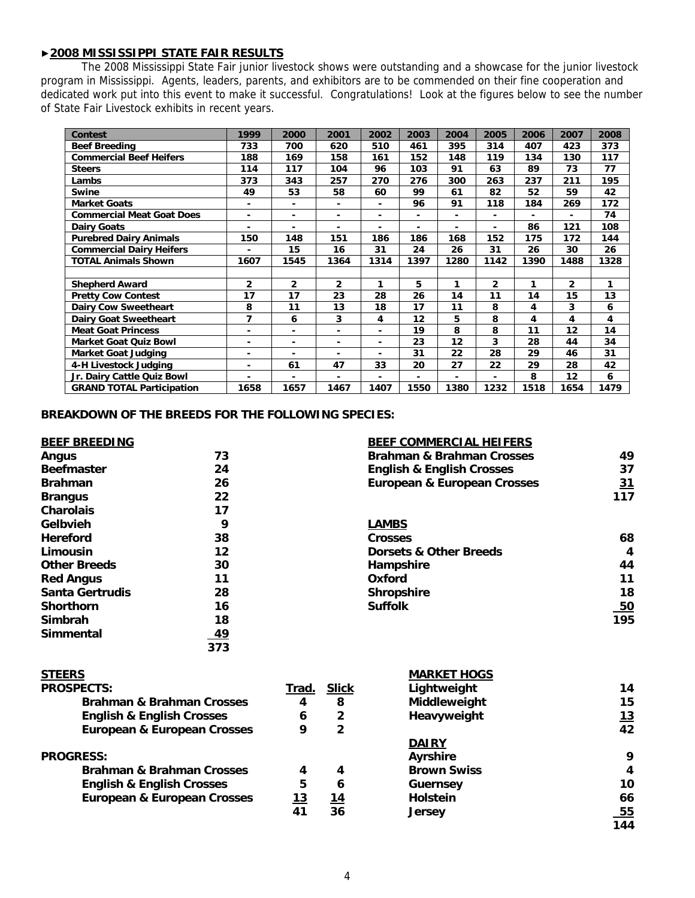#### ▶**2008 MISSISSIPPI STATE FAIR RESULTS**

 The 2008 Mississippi State Fair junior livestock shows were outstanding and a showcase for the junior livestock program in Mississippi. Agents, leaders, parents, and exhibitors are to be commended on their fine cooperation and dedicated work put into this event to make it successful. Congratulations! Look at the figures below to see the number of State Fair Livestock exhibits in recent years.

| <b>Contest</b>                   | 1999           | 2000           | 2001           | 2002 | 2003 | 2004 | 2005           | 2006 | 2007           | 2008 |
|----------------------------------|----------------|----------------|----------------|------|------|------|----------------|------|----------------|------|
| <b>Beef Breeding</b>             | 733            | 700            | 620            | 510  | 461  | 395  | 314            | 407  | 423            | 373  |
| <b>Commercial Beef Heifers</b>   | 188            | 169            | 158            | 161  | 152  | 148  | 119            | 134  | 130            | 117  |
| <b>Steers</b>                    | 114            | 117            | 104            | 96   | 103  | 91   | 63             | 89   | 73             | 77   |
| Lambs                            | 373            | 343            | 257            | 270  | 276  | 300  | 263            | 237  | 211            | 195  |
| Swine                            | 49             | 53             | 58             | 60   | 99   | 61   | 82             | 52   | 59             | 42   |
| <b>Market Goats</b>              | ۰              | ٠              | $\blacksquare$ |      | 96   | 91   | 118            | 184  | 269            | 172  |
| <b>Commercial Meat Goat Does</b> | ۰              | $\blacksquare$ | ۰              | ٠    | ۰    | ۰.   | ٠              | ۰    | $\blacksquare$ | 74   |
| <b>Dairy Goats</b>               | ٠              | ٠              | ٠              | ٠    | ٠    | ۰.   | ٠              | 86   | 121            | 108  |
| <b>Purebred Dairy Animals</b>    | 150            | 148            | 151            | 186  | 186  | 168  | 152            | 175  | 172            | 144  |
| <b>Commercial Dairy Heifers</b>  | ٠              | 15             | 16             | 31   | 24   | 26   | 31             | 26   | 30             | 26   |
| <b>TOTAL Animals Shown</b>       | 1607           | 1545           | 1364           | 1314 | 1397 | 1280 | 1142           | 1390 | 1488           | 1328 |
|                                  |                |                |                |      |      |      |                |      |                |      |
| <b>Shepherd Award</b>            | $\overline{2}$ | $\overline{2}$ | $\overline{2}$ | 1    | 5    | 1    | $\overline{2}$ | 1    | $\overline{2}$ | 1    |
| <b>Pretty Cow Contest</b>        | 17             | 17             | 23             | 28   | 26   | 14   | 11             | 14   | 15             | 13   |
| <b>Dairy Cow Sweetheart</b>      | 8              | 11             | 13             | 18   | 17   | 11   | 8              | 4    | 3              | 6    |
| <b>Dairy Goat Sweetheart</b>     | 7              | 6              | 3              | 4    | 12   | 5    | 8              | 4    | 4              | 4    |
| <b>Meat Goat Princess</b>        |                | ۰.             | $\blacksquare$ | ۰    | 19   | 8    | 8              | 11   | 12             | 14   |
| <b>Market Goat Quiz Bowl</b>     |                | ۰              | $\blacksquare$ |      | 23   | 12   | 3              | 28   | 44             | 34   |
| <b>Market Goat Judging</b>       | ٠              | ۰              | ۰              | ۰    | 31   | 22   | 28             | 29   | 46             | 31   |
| 4-H Livestock Judging            | ٠              | 61             | 47             | 33   | 20   | 27   | 22             | 29   | 28             | 42   |
| Jr. Dairy Cattle Quiz Bowl       | ä,             | ۰              | $\blacksquare$ |      | ٠    | ٠    | ۰              | 8    | 12             | 6    |
| <b>GRAND TOTAL Participation</b> | 1658           | 1657           | 1467           | 1407 | 1550 | 1380 | 1232           | 1518 | 1654           | 1479 |

#### **BREAKDOWN OF THE BREEDS FOR THE FOLLOWING SPECIES:**

| <b>BEEF BREEDING</b>   |           | <b>BEEF COMMERCIAL HEIFERS</b>         |           |
|------------------------|-----------|----------------------------------------|-----------|
| Angus                  | 73        | <b>Brahman &amp; Brahman Crosses</b>   | 49        |
| <b>Beefmaster</b>      | 24        | <b>English &amp; English Crosses</b>   | 37        |
| <b>Brahman</b>         | 26        | <b>European &amp; European Crosses</b> | <u>31</u> |
| <b>Brangus</b>         | 22        |                                        | 117       |
| <b>Charolais</b>       | 17        |                                        |           |
| Gelbvieh               | 9         | <b>LAMBS</b>                           |           |
| <b>Hereford</b>        | 38        | <b>Crosses</b>                         | 68        |
| Limousin               | 12        | <b>Dorsets &amp; Other Breeds</b>      | 4         |
| <b>Other Breeds</b>    | 30        | Hampshire                              | 44        |
| <b>Red Angus</b>       | 11        | Oxford                                 | 11        |
| <b>Santa Gertrudis</b> | 28        | <b>Shropshire</b>                      | 18        |
| <b>Shorthorn</b>       | 16        | <b>Suffolk</b>                         | 50        |
| Simbrah                | 18        |                                        | 195       |
| Simmental              | <u>49</u> |                                        |           |
|                        | 373       |                                        |           |

| <b>STEERS</b>                          |       |              | <b>MARKET HOGS</b> |            |
|----------------------------------------|-------|--------------|--------------------|------------|
| <b>PROSPECTS:</b>                      | Trad. | <b>Slick</b> | Lightweight        | 14         |
| <b>Brahman &amp; Brahman Crosses</b>   | 4     | 8            | Middleweight       | 15         |
| <b>English &amp; English Crosses</b>   | 6     | 2            | Heavyweight        | <u> 13</u> |
| <b>European &amp; European Crosses</b> | 9     | 2            |                    | 42         |
|                                        |       |              | <b>DAIRY</b>       |            |
| <b>PROGRESS:</b>                       |       |              | <b>Ayrshire</b>    | 9          |
| <b>Brahman &amp; Brahman Crosses</b>   | 4     | 4            | <b>Brown Swiss</b> | 4          |
| <b>English &amp; English Crosses</b>   | 5     | 6            | <b>Guernsey</b>    | 10         |
| <b>European &amp; European Crosses</b> | 13    | 14           | <b>Holstein</b>    | 66         |
|                                        | 41    | 36           | <b>Jersey</b>      | <u>55</u>  |
|                                        |       |              |                    | 144        |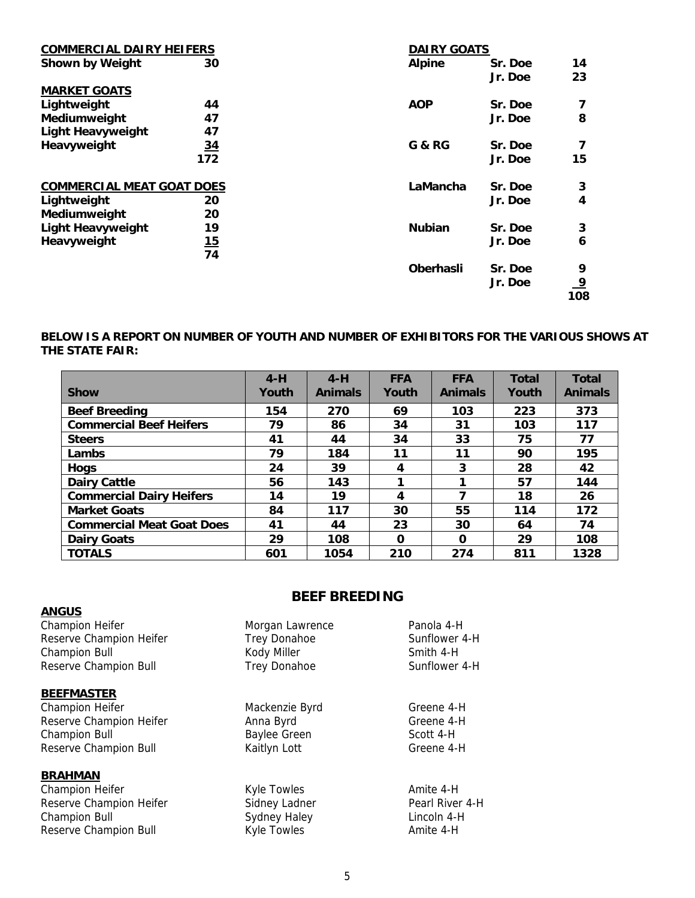| <b>COMMERCIAL DAIRY HEIFERS</b>  |           | <b>DAIRY GOATS</b> |         |                |
|----------------------------------|-----------|--------------------|---------|----------------|
| <b>Shown by Weight</b>           | 30        | <b>Alpine</b>      | Sr. Doe | 14             |
|                                  |           |                    | Jr. Doe | 23             |
| <b>MARKET GOATS</b>              |           |                    |         |                |
| Lightweight                      | 44        | <b>AOP</b>         | Sr. Doe | 7              |
| Mediumweight                     | 47        |                    | Jr. Doe | 8              |
| <b>Light Heavyweight</b>         | 47        |                    |         |                |
| Heavyweight                      | <u>34</u> | G & RG             | Sr. Doe | 7              |
|                                  | 172       |                    | Jr. Doe | 15             |
| <b>COMMERCIAL MEAT GOAT DOES</b> |           | LaMancha           | Sr. Doe | 3              |
| Lightweight                      | 20        |                    | Jr. Doe | 4              |
| Mediumweight                     | 20        |                    |         |                |
| <b>Light Heavyweight</b>         | 19        | <b>Nubian</b>      | Sr. Doe | 3              |
| Heavyweight                      | <u>15</u> |                    | Jr. Doe | 6              |
|                                  | 74        |                    |         |                |
|                                  |           | <b>Oberhasli</b>   | Sr. Doe | 9              |
|                                  |           |                    | Jr. Doe | $\overline{9}$ |
|                                  |           |                    |         | 108            |

#### **BELOW IS A REPORT ON NUMBER OF YOUTH AND NUMBER OF EXHIBITORS FOR THE VARIOUS SHOWS AT THE STATE FAIR:**

|                                  | $4-H$ | $4-H$          | <b>FFA</b> | <b>FFA</b>     | <b>Total</b> | <b>Total</b>   |
|----------------------------------|-------|----------------|------------|----------------|--------------|----------------|
| <b>Show</b>                      | Youth | <b>Animals</b> | Youth      | <b>Animals</b> | Youth        | <b>Animals</b> |
| <b>Beef Breeding</b>             | 154   | 270            | 69         | 103            | 223          | 373            |
| <b>Commercial Beef Heifers</b>   | 79    | 86             | 34         | 31             | 103          | 117            |
| <b>Steers</b>                    | 41    | 44             | 34         | 33             | 75           | 77             |
| Lambs                            | 79    | 184            | 11         | 11             | 90           | 195            |
| <b>Hogs</b>                      | 24    | 39             | 4          | 3              | 28           | 42             |
| <b>Dairy Cattle</b>              | 56    | 143            |            |                | 57           | 144            |
| <b>Commercial Dairy Heifers</b>  | 14    | 19             | 4          | 7              | 18           | 26             |
| <b>Market Goats</b>              | 84    | 117            | 30         | 55             | 114          | 172            |
| <b>Commercial Meat Goat Does</b> | 41    | 44             | 23         | 30             | 64           | 74             |
| <b>Dairy Goats</b>               | 29    | 108            | O          | $\Omega$       | 29           | 108            |
| <b>TOTALS</b>                    | 601   | 1054           | 210        | 274            | 811          | 1328           |

#### **ANGUS**

Champion Heifer **Morgan Lawrence Panola 4-H** Reserve Champion Heifer Trew 1-Holder Champion Bull Miller Smith 4-H Kody Miller Smith 4-H Kody Miller Reserve Champion Bull **Trep 2018** 

#### **BEEFMASTER**

Champion Heifer **Mackenzie Byrd** Greene 4-H Reserve Champion Heifer **Anna Byrd** Anna Byrd Greene 4-H Champion Bull **Baylee Green** Scott 4-H Reserve Champion Bull **Kaitlyn Lott** Greene 4-H

#### **BRAHMAN**

Champion Heifer **Champion Heifer** Kyle Towles **Amite 4-H** Reserve Champion Heifer Sidney Ladner Pearl River 4-H Champion Bull **Sydney Haley** Champion Bull **Champion Bull** Reserve Champion Bull **Kyle Towles** Amite 4-H

#### **BEEF BREEDING**

| lorgan Lawrence | Panola 4-H    |
|-----------------|---------------|
| rey Donahoe     | Sunflower 4-H |
| ody Miller      | Smith 4-H     |
| rey Donahoe     | Sunflower 4-H |
|                 |               |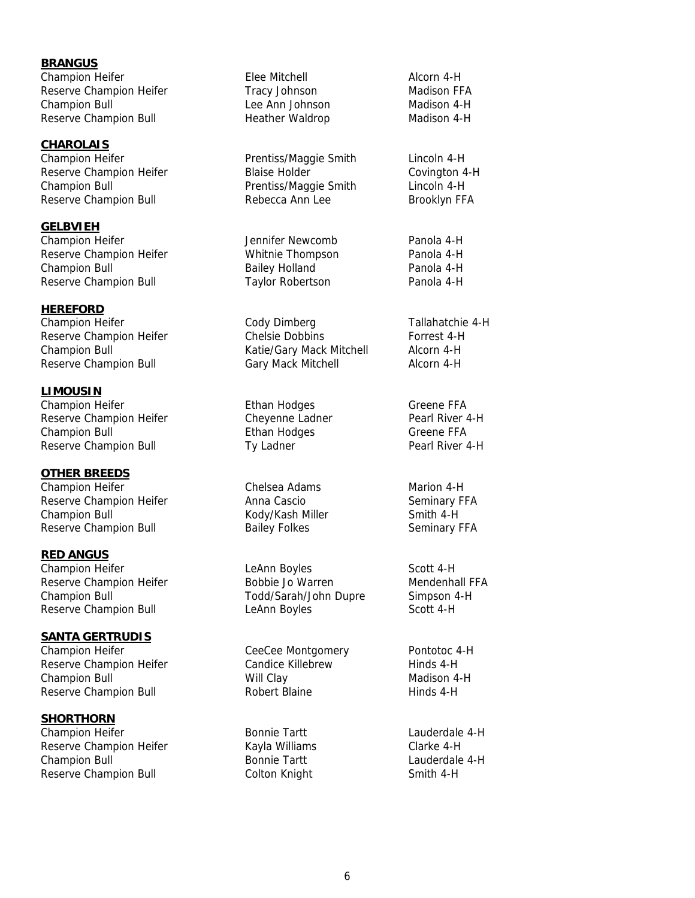**BRANGUS** Champion Heifer **Elee Mitchell** Elee Mitchell Alcorn 4-H Reserve Champion Heifer Tracy Johnson Madison FFA Champion Bull Lee Ann Johnson Madison 4-H Reserve Champion Bull **Heather Waldrop** Madison 4-H

**CHAROLAIS** Champion Heifer **Prentiss/Maggie Smith** Lincoln 4-H Reserve Champion Heifer The Blaise Holder The Covington 4-H Champion Bull **Champion Bull** Prentiss/Maggie Smith Lincoln 4-H Reserve Champion Bull **Rebecca Ann Lee** Brooklyn FFA

**GELBVIEH** Champion Heifer **News** Jennifer Newcomb Panola 4-H Reserve Champion Heifer **Network** Whitnie Thompson **Panola 4-H** Champion Bull **Bailey Holland** Panola 4-H Reserve Champion Bull **Taylor Robertson** Panola 4-H

**HEREFORD**

**LIMOUSIN** Champion Heifer **Ethan Hodges** Greene FFA Reserve Champion Heifer **Cheyenne Ladner** Pearl River 4-H Champion Bull **Ethan Hodges** Greene FFA Reserve Champion Bull **Ty Ladner** Ty Ladner **Pearl River 4-H** 

**OTHER BREEDS** Champion Heifer Chelsea Adams Marion 4-H Reserve Champion Heifer **Anna Cascio** Anna Cascio Seminary FFA Champion Bull **Kody/Kash Miller** Smith 4-H Reserve Champion Bull **Bailey Folkes** Seminary FFA

**RED ANGUS** Champion Heifer **LeAnn Boyles** Champion Heifer Reserve Champion Heifer **Bobbie Jo Warren** Mendenhall FFA Champion Bull Todd/Sarah/John Dupre Simpson 4-H Reserve Champion Bull **Leann Boyles** Scott 4-H

**SANTA GERTRUDIS** Champion Heifer **Champion Heifer** CeeCee Montgomery **Pontotoc 4-H** Reserve Champion Heifer **Candice Killebrew** Hinds 4-H Champion Bull **Madison 4-H** Will Clay Madison 4-H Reserve Champion Bull **Robert Blaine** Robert Blaine Hinds 4-H

**SHORTHORN** Champion Heifer **Bonnie Tartt** Lauderdale 4-H Reserve Champion Heifer **Kayla Williams** Clarke 4-H Champion Bull **Bonnie Tartt** Champion Bull Bonnie Tartt Lauderdale 4-H Reserve Champion Bull **Colton Knight** Smith 4-H

Champion Heifer Cody Dimberg Tallahatchie 4-H Reserve Champion Heifer **Chelsie Dobbins** Forrest 4-H Champion Bull Katie/Gary Mack Mitchell Alcorn 4-H Reserve Champion Bull Gary Mack Mitchell Alcorn 4-H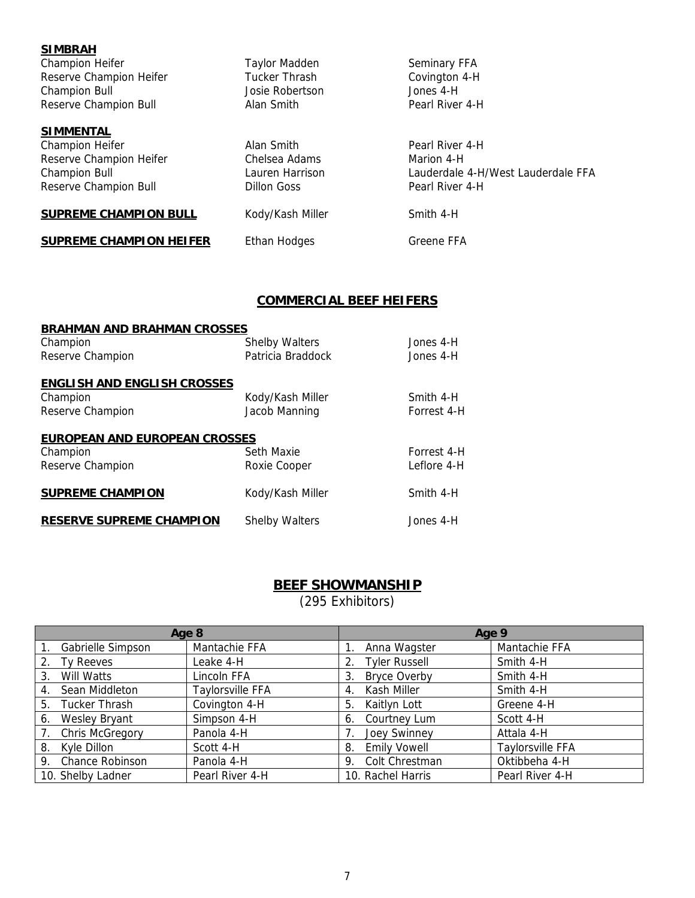| <b>SIMBRAH</b>                 |                      |                                    |
|--------------------------------|----------------------|------------------------------------|
| Champion Heifer                | <b>Taylor Madden</b> | Seminary FFA                       |
| Reserve Champion Heifer        | Tucker Thrash        | Covington 4-H                      |
| <b>Champion Bull</b>           | Josie Robertson      | Jones 4-H                          |
| Reserve Champion Bull          | Alan Smith           | Pearl River 4-H                    |
| <b>SIMMENTAL</b>               |                      |                                    |
| Champion Heifer                | Alan Smith           | Pearl River 4-H                    |
| Reserve Champion Heifer        | Chelsea Adams        | Marion 4-H                         |
| <b>Champion Bull</b>           | Lauren Harrison      | Lauderdale 4-H/West Lauderdale FFA |
| Reserve Champion Bull          | <b>Dillon Goss</b>   | Pearl River 4-H                    |
| <b>SUPREME CHAMPION BULL</b>   | Kody/Kash Miller     | Smith 4-H                          |
| <b>SUPREME CHAMPION HEIFER</b> | Ethan Hodges         | Greene FFA                         |

# **COMMERCIAL BEEF HEIFERS**

| <b>BRAHMAN AND BRAHMAN CROSSES</b>   |                       |             |  |  |  |  |
|--------------------------------------|-----------------------|-------------|--|--|--|--|
| Champion                             | <b>Shelby Walters</b> | Jones 4-H   |  |  |  |  |
| Reserve Champion                     | Patricia Braddock     | Jones 4-H   |  |  |  |  |
| <b>ENGLISH AND ENGLISH CROSSES</b>   |                       |             |  |  |  |  |
| Champion                             | Kody/Kash Miller      | Smith 4-H   |  |  |  |  |
| Reserve Champion                     | Jacob Manning         | Forrest 4-H |  |  |  |  |
| <b>EUROPEAN AND EUROPEAN CROSSES</b> |                       |             |  |  |  |  |
| Champion                             | Seth Maxie            | Forrest 4-H |  |  |  |  |
| Reserve Champion                     | Roxie Cooper          | Leflore 4-H |  |  |  |  |
| <b>SUPREME CHAMPION</b>              | Kody/Kash Miller      | Smith 4-H   |  |  |  |  |
| <b>RESERVE SUPREME CHAMPION</b>      | <b>Shelby Walters</b> | Jones 4-H   |  |  |  |  |

#### **BEEF SHOWMANSHIP**

(295 Exhibitors)

| Age 8                        |                  | Age 9                      |                  |  |
|------------------------------|------------------|----------------------------|------------------|--|
| Gabrielle Simpson            | Mantachie FFA    | Anna Wagster               | Mantachie FFA    |  |
| Ty Reeves<br>2.              | Leake 4-H        | <b>Tyler Russell</b><br>2. | Smith 4-H        |  |
| Will Watts<br>3.             | Lincoln FFA      | <b>Bryce Overby</b><br>3.  | Smith 4-H        |  |
| Sean Middleton<br>4.         | Taylorsville FFA | Kash Miller<br>4.          | Smith 4-H        |  |
| Tucker Thrash<br>5.          | Covington 4-H    | Kaitlyn Lott<br>5.         | Greene 4-H       |  |
| Wesley Bryant<br>6.          | Simpson 4-H      | Courtney Lum<br>6.         | Scott 4-H        |  |
| <b>Chris McGregory</b><br>7. | Panola 4-H       | <b>Joey Swinney</b>        | Attala 4-H       |  |
| 8. Kyle Dillon               | Scott 4-H        | <b>Emily Vowell</b><br>8.  | Taylorsville FFA |  |
| 9. Chance Robinson           | Panola 4-H       | Colt Chrestman<br>9.       | Oktibbeha 4-H    |  |
| 10. Shelby Ladner            | Pearl River 4-H  | 10. Rachel Harris          | Pearl River 4-H  |  |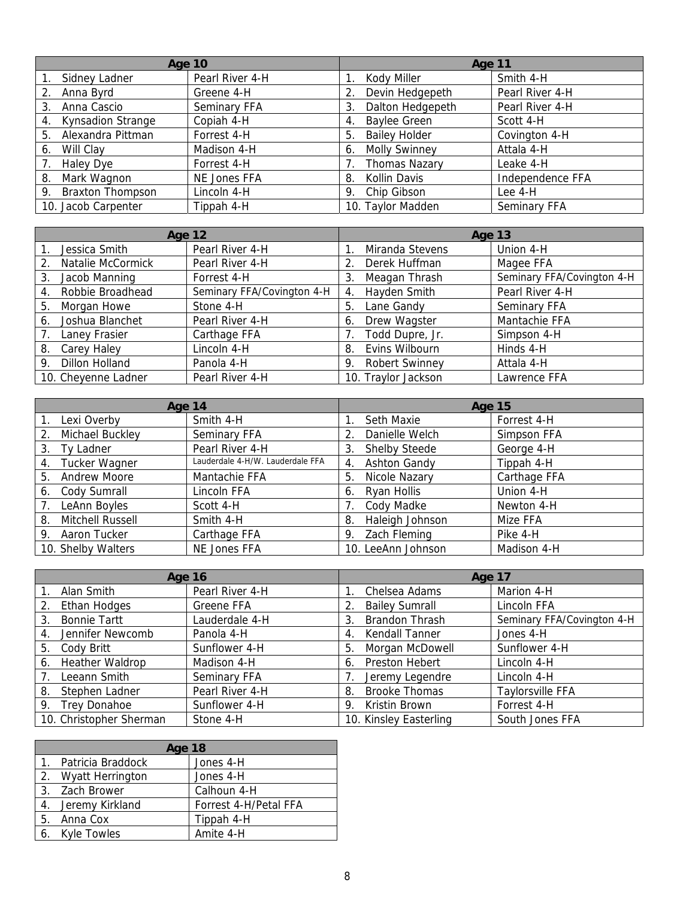|                                | <b>Age 10</b>   | Age 11                     |                  |
|--------------------------------|-----------------|----------------------------|------------------|
| Sidney Ladner                  | Pearl River 4-H | Kody Miller                | Smith 4-H        |
| Anna Byrd<br>2.                | Greene 4-H      | Devin Hedgepeth            | Pearl River 4-H  |
| Anna Cascio<br>3.              | Seminary FFA    | Dalton Hedgepeth<br>3.     | Pearl River 4-H  |
| <b>Kynsadion Strange</b><br>4. | Copiah 4-H      | <b>Baylee Green</b><br>4.  | Scott 4-H        |
| Alexandra Pittman<br>5.        | Forrest 4-H     | <b>Bailey Holder</b><br>5. | Covington 4-H    |
| Will Clav<br>6.                | Madison 4-H     | <b>Molly Swinney</b><br>6. | Attala 4-H       |
| Haley Dye                      | Forrest 4-H     | <b>Thomas Nazary</b>       | Leake 4-H        |
| Mark Wagnon<br>8.              | NE Jones FFA    | Kollin Davis<br>8.         | Independence FFA |
| <b>Braxton Thompson</b><br>9.  | Lincoln 4-H     | Chip Gibson<br>9.          | Lee 4-H          |
| 10. Jacob Carpenter            | Tippah 4-H      | 10. Taylor Madden          | Seminary FFA     |

| <b>Age 12</b>               |                            | Age 13                      |                            |  |
|-----------------------------|----------------------------|-----------------------------|----------------------------|--|
| Jessica Smith               | Pearl River 4-H            | Miranda Stevens             | Union 4-H                  |  |
| Natalie McCormick<br>2.     | Pearl River 4-H            | Derek Huffman               | Magee FFA                  |  |
| Jacob Manning<br>3.         | Forrest 4-H                | Meagan Thrash<br>3.         | Seminary FFA/Covington 4-H |  |
| Robbie Broadhead<br>4.      | Seminary FFA/Covington 4-H | Hayden Smith<br>4.          | Pearl River 4-H            |  |
| Morgan Howe<br>5.           | Stone 4-H                  | Lane Gandy<br>5.            | Seminary FFA               |  |
| Joshua Blanchet<br>6.       | Pearl River 4-H            | Drew Wagster<br>6.          | Mantachie FFA              |  |
| Laney Frasier               | Carthage FFA               | Todd Dupre, Jr.             | Simpson 4-H                |  |
| Carey Haley<br>8.           | Lincoln 4-H                | Evins Wilbourn<br>8.        | Hinds 4-H                  |  |
| <b>Dillon Holland</b><br>9. | Panola 4-H                 | <b>Robert Swinney</b><br>9. | Attala 4-H                 |  |
| 10. Cheyenne Ladner         | Pearl River 4-H            | 10. Traylor Jackson         | Lawrence FFA               |  |

| Age 14                    |                                  | <b>Age 15</b>              |              |  |
|---------------------------|----------------------------------|----------------------------|--------------|--|
| Lexi Overby               | Smith 4-H                        | Seth Maxie                 | Forrest 4-H  |  |
| Michael Buckley<br>2.     | Seminary FFA                     | Danielle Welch             | Simpson FFA  |  |
| Ty Ladner<br>3.           | Pearl River 4-H                  | <b>Shelby Steede</b><br>3. | George 4-H   |  |
| Tucker Wagner<br>4.       | Lauderdale 4-H/W. Lauderdale FFA | <b>Ashton Gandy</b><br>4.  | Tippah 4-H   |  |
| <b>Andrew Moore</b><br>5. | Mantachie FFA                    | Nicole Nazary<br>5.        | Carthage FFA |  |
| Cody Sumrall<br>6.        | Lincoln FFA                      | Ryan Hollis<br>6.          | Union 4-H    |  |
| LeAnn Boyles              | Scott 4-H                        | Cody Madke                 | Newton 4-H   |  |
| Mitchell Russell<br>8.    | Smith 4-H                        | Haleigh Johnson<br>8.      | Mize FFA     |  |
| Aaron Tucker<br>9.        | Carthage FFA                     | Zach Fleming<br>9.         | Pike 4-H     |  |
| 10. Shelby Walters        | NE Jones FFA                     | 10. LeeAnn Johnson         | Madison 4-H  |  |

| <b>Age 16</b>                  |                 | Age 17                      |                            |  |
|--------------------------------|-----------------|-----------------------------|----------------------------|--|
| Alan Smith                     | Pearl River 4-H | Chelsea Adams               | Marion 4-H                 |  |
| Ethan Hodges<br>2.             | Greene FFA      | <b>Bailey Sumrall</b>       | Lincoln FFA                |  |
| <b>Bonnie Tartt</b><br>3.      | Lauderdale 4-H  | <b>Brandon Thrash</b><br>3. | Seminary FFA/Covington 4-H |  |
| Jennifer Newcomb<br>4.         | Panola 4-H      | Kendall Tanner<br>4.        | Jones 4-H                  |  |
| Cody Britt<br>5.               | Sunflower 4-H   | Morgan McDowell<br>5.       | Sunflower 4-H              |  |
| <b>Heather Waldrop</b><br>6.   | Madison 4-H     | Preston Hebert<br>6.        | Lincoln 4-H                |  |
| Leeann Smith<br>7 <sub>1</sub> | Seminary FFA    | Jeremy Legendre             | Lincoln 4-H                |  |
| Stephen Ladner<br>8.           | Pearl River 4-H | <b>Brooke Thomas</b><br>8.  | Taylorsville FFA           |  |
| <b>Trey Donahoe</b><br>9.      | Sunflower 4-H   | Kristin Brown<br>9.         | Forrest 4-H                |  |
| 10. Christopher Sherman        | Stone 4-H       | 10. Kinsley Easterling      | South Jones FFA            |  |

| <b>Age 18</b>        |                       |  |  |  |  |
|----------------------|-----------------------|--|--|--|--|
| 1. Patricia Braddock | Jones 4-H             |  |  |  |  |
| 2. Wyatt Herrington  | Jones 4-H             |  |  |  |  |
| 3. Zach Brower       | Calhoun 4-H           |  |  |  |  |
| 4. Jeremy Kirkland   | Forrest 4-H/Petal FFA |  |  |  |  |
| 5. Anna Cox          | Tippah 4-H            |  |  |  |  |
| 6. Kyle Towles       | Amite 4-H             |  |  |  |  |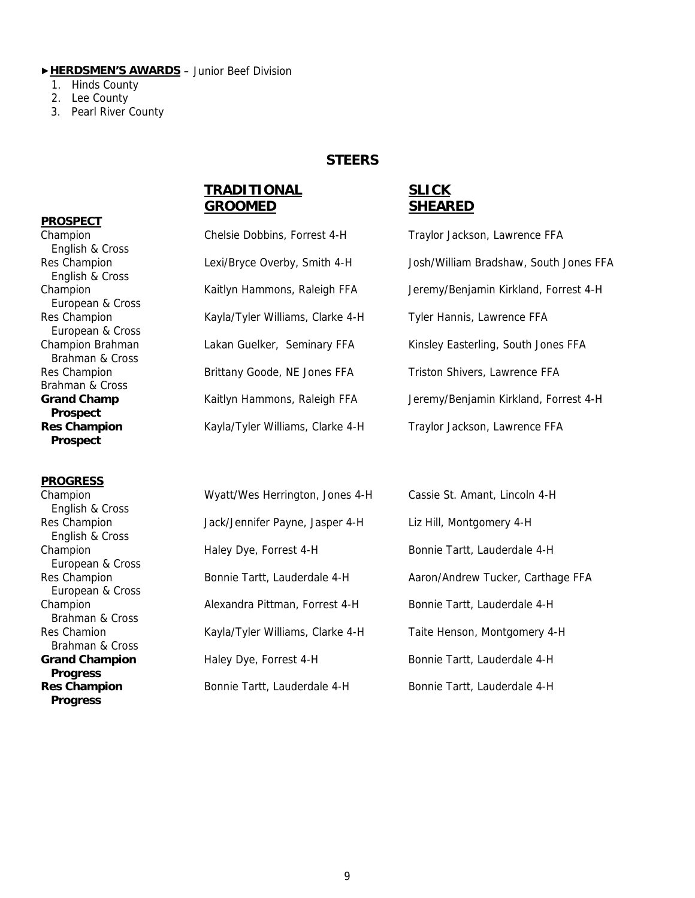#### ▶**HERDSMEN'S AWARDS** – Junior Beef Division

- 1. Hinds County
- 2. Lee County
- 3. Pearl River County

#### **STEERS**

#### **TRADITIONAL SLICK GROOMED SHEARED**

#### **PROSPECT**

 English & Cross English & Cross European & Cross European & Cross Brahman & Cross Brahman & Cross  **Prospect Prospect** 

#### **PROGRESS**

 English & Cross English & Cross European & Cross European & Cross Brahman & Cross Brahman & Cross  **Progress Progress**

| Champion           | Chelsie Dobbins, Forrest 4-H      | Traylor Jackson, Lawrence FFA   |
|--------------------|-----------------------------------|---------------------------------|
| English & Cross    |                                   |                                 |
| Res Champion       | Lexi/Bryce Overby, Smith 4-H      | Josh/William Bradshaw, South    |
| English & Cross    |                                   |                                 |
| Champion           | Kaitlyn Hammons, Raleigh FFA      | Jeremy/Benjamin Kirkland, For   |
| European & Cross   |                                   |                                 |
| Res Champion       | Kayla/Tyler Williams, Clarke 4-H  | Tyler Hannis, Lawrence FFA      |
| European & Cross   |                                   |                                 |
| Champion Brahman   | Lakan Guelker, Seminary FFA       | Kinsley Easterling, South Jones |
| Brahman & Cross    |                                   |                                 |
| Res Champion       | Brittany Goode, NE Jones FFA      | Triston Shivers, Lawrence FFA   |
| Brahman & Cross    |                                   |                                 |
| <b>Grand Champ</b> | Kaitlyn Hammons, Raleigh FFA      | Jeremy/Benjamin Kirkland, For   |
| <b>Prospect</b>    |                                   |                                 |
| Doc Champian       | Kayla/Tyler Williams, Clarke, 4 H | Traylor Jackson, Lawrence EEA   |

Champion Chelsie Dobbins, Forrest 4-H Traylor Jackson, Lawrence FFA Res Champion **Lexi/Bryce Overby, Smith 4-H** Josh/William Bradshaw, South Jones FFA Champion **Kaitlyn Hammons, Raleigh FFA** Jeremy/Benjamin Kirkland, Forrest 4-H Champion Brahman Lakan Guelker, Seminary FFA Kinsley Easterling, South Jones FFA Grand Champ **Kaitlyn Hammons, Raleigh FFA** Jeremy/Benjamin Kirkland, Forrest 4-H **Res Champion Kayla/Tyler Williams, Clarke 4-H** Traylor Jackson, Lawrence FFA

| Champion                                 | Wyatt/Wes Herrington, Jones 4-H  | Cassie St. Amant, Lincoln 4-H     |
|------------------------------------------|----------------------------------|-----------------------------------|
| English & Cross<br>Res Champion          | Jack/Jennifer Payne, Jasper 4-H  | Liz Hill, Montgomery 4-H          |
| English & Cross<br>Champion              | Haley Dye, Forrest 4-H           | Bonnie Tartt, Lauderdale 4-H      |
| European & Cross                         |                                  |                                   |
| Res Champion<br>European & Cross         | Bonnie Tartt, Lauderdale 4-H     | Aaron/Andrew Tucker, Carthage FFA |
| Champion<br>Brahman & Cross              | Alexandra Pittman, Forrest 4-H   | Bonnie Tartt, Lauderdale 4-H      |
| Res Chamion<br>Brahman & Cross           | Kayla/Tyler Williams, Clarke 4-H | Taite Henson, Montgomery 4-H      |
| <b>Grand Champion</b><br><b>Progress</b> | Haley Dye, Forrest 4-H           | Bonnie Tartt, Lauderdale 4-H      |
| <b>Res Champion</b>                      | Bonnie Tartt, Lauderdale 4-H     | Bonnie Tartt, Lauderdale 4-H      |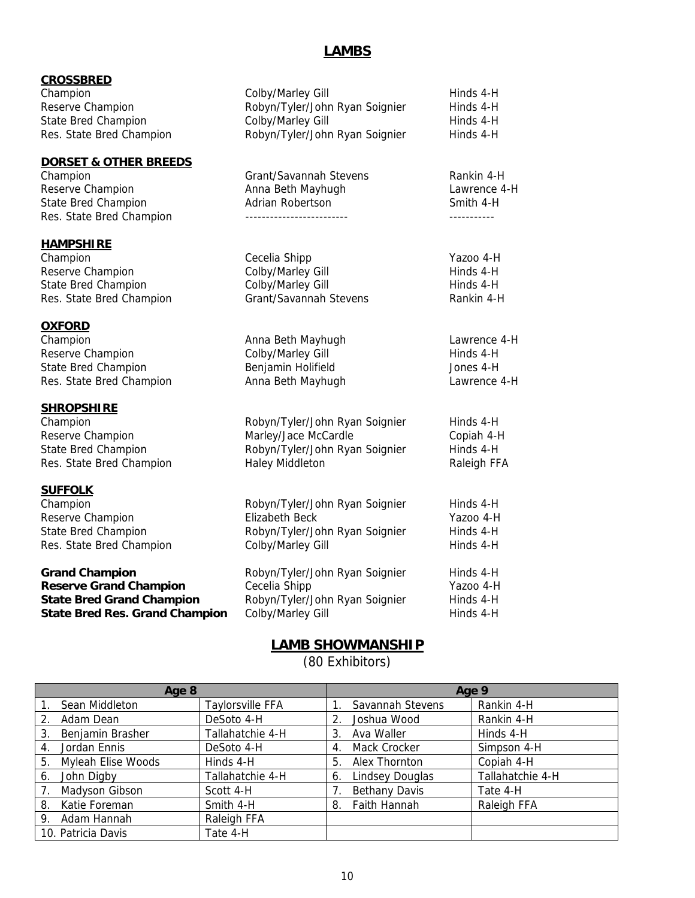#### **LAMBS**

| <b>CROSSBRED</b> |  |
|------------------|--|
|                  |  |

Champion Colby/Marley Gill Champion Hinds 4-H Reserve Champion **Robyn/Tyler/John Ryan Soignier** Hinds 4-H

#### **DORSET & OTHER BREEDS**

State Bred Champion Adrian Robertson

#### **HAMPSHIRE**

#### **OXFORD**

Res. State Bred Champion **Anna Beth Mayhugh Lawrence 4-H** Lawrence 4-H

#### **SHROPSHIRE**

#### **SUFFOLK**

Champion Reserve Champion State Bred Champion Res. State Bred Champion

#### **Grand Champion Reserve Grand Champion State Bred Grand Champion State Bred Res. Grand Champion** Colby/Marley

# State Bred Champion Colby/Marley Gill The Hinds 4-H Res. State Bred Champion **Robyn/Tyler/John Ryan Soignier** Hinds 4-H Champion Grant/Savannah Stevens Rankin 4-H Reserve Champion **Anna Beth Mayhugh** Cawrence 4-H<br>
State Bred Champion **Adrian Robertson** Communication Smith 4-H Res. State Bred Champion ------------------------- -----------

- Champion Cecelia Shipp Cecelia Shipp Yazoo 4-H Reserve Champion **Colby/Marley Gill Colby/Marley Gill Hinds 4-H** State Bred Champion Colby/Marley Gill Hinds 4-H Res. State Bred Champion Grant/Savannah Stevens Rankin 4-H Champion **Champion Champion Champion Lawrence 4-H Anna Beth Mayhugh Lawrence 4-H** Reserve Champion **Colby/Marley Gill Colby/Marley Gill Hinds 4-H** State Bred Champion Benjamin Holifield Jones 4-H
- Champion Robyn/Tyler/John Ryan Soignier Hinds 4-H Reserve Champion The Marley/Jace McCardle Copiah 4-H State Bred Champion **Robyn/Tyler/John Ryan Soignier** Hinds 4-H Res. State Bred Champion **Haley Middleton** Haley The Raleigh FFA

| Robyn/Tyler/John Ryan Soignier<br>Elizabeth Beck<br>Robyn/Tyler/John Ryan Soignier<br>Colby/Marley Gill | Hinds 4-H<br>Yazoo 4-H<br>Hinds 4-H<br>Hinds 4-H |
|---------------------------------------------------------------------------------------------------------|--------------------------------------------------|
| Robyn/Tyler/John Ryan Soignier<br>Cecelia Shipp<br>Robyn/Tyler/John Ryan Soignier                       | Hinds 4-H<br>Yazoo 4-H<br>Hinds 4-H<br>Hinds 4-H |
|                                                                                                         | Colby/Marley Gill                                |

## **LAMB SHOWMANSHIP**

(80 Exhibitors)

| Age 8 |                           |                  | Age 9 |                        |                  |
|-------|---------------------------|------------------|-------|------------------------|------------------|
| 1.    | Sean Middleton            | Taylorsville FFA |       | Savannah Stevens       | Rankin 4-H       |
| 2.    | Adam Dean                 | DeSoto 4-H       | 2.    | Joshua Wood            | Rankin 4-H       |
| 3.    | Benjamin Brasher          | Tallahatchie 4-H | 3     | Ava Waller             | Hinds 4-H        |
| 4.    | Jordan Ennis              | DeSoto 4-H       | 4.    | Mack Crocker           | Simpson 4-H      |
| 5.    | <b>Myleah Elise Woods</b> | Hinds 4-H        | 5.    | Alex Thornton          | Copiah 4-H       |
| 6.    | John Digby                | Tallahatchie 4-H | 6.    | <b>Lindsey Douglas</b> | Tallahatchie 4-H |
| 7.    | Madyson Gibson            | Scott 4-H        |       | <b>Bethany Davis</b>   | Tate 4-H         |
| 8.    | Katie Foreman             | Smith 4-H        | 8.    | Faith Hannah           | Raleigh FFA      |
| 9.    | Adam Hannah               | Raleigh FFA      |       |                        |                  |
|       | 10. Patricia Davis        | Tate 4-H         |       |                        |                  |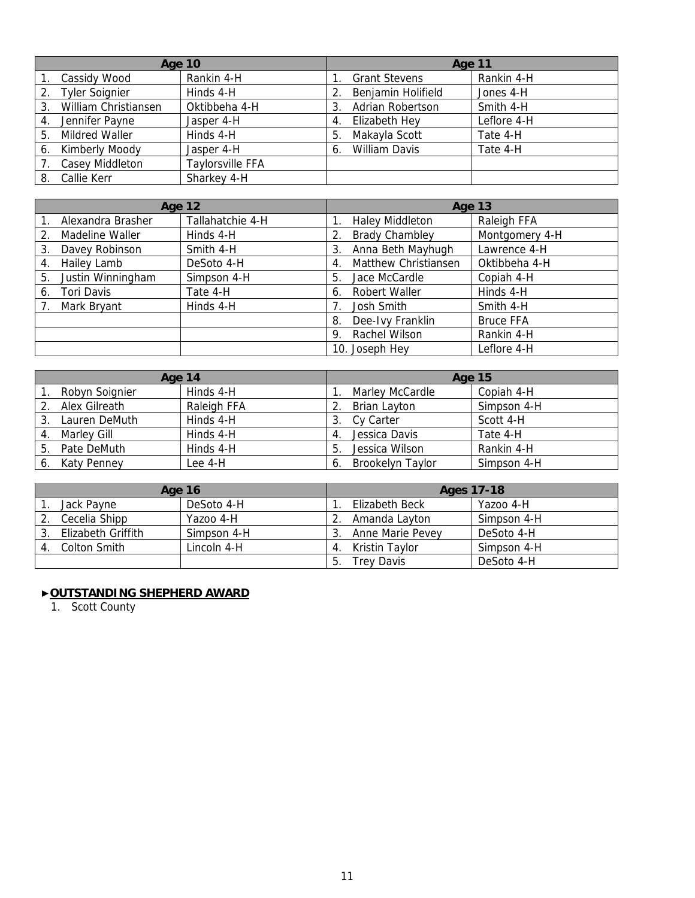| <b>Age 10</b> |                       | Age 11                  |     |                      |             |
|---------------|-----------------------|-------------------------|-----|----------------------|-------------|
|               | Cassidy Wood          | Rankin 4-H              |     | <b>Grant Stevens</b> | Rankin 4-H  |
| 2.            | <b>Tyler Soignier</b> | Hinds 4-H               | 2.  | Benjamin Holifield   | Jones 4-H   |
| 3.            | William Christiansen  | Oktibbeha 4-H           | 3   | Adrian Robertson     | Smith 4-H   |
|               | Jennifer Payne        | Jasper 4-H              | -4. | Elizabeth Hey        | Leflore 4-H |
| 5.            | <b>Mildred Waller</b> | Hinds 4-H               | 5.  | Makayla Scott        | Tate 4-H    |
| 6.            | Kimberly Moody        | Jasper 4-H              | 6.  | <b>William Davis</b> | Tate 4-H    |
|               | Casey Middleton       | <b>Taylorsville FFA</b> |     |                      |             |
|               | 8. Callie Kerr        | Sharkey 4-H             |     |                      |             |

| <b>Age 12</b> |                   | Age 13           |    |                        |                  |
|---------------|-------------------|------------------|----|------------------------|------------------|
|               | Alexandra Brasher | Tallahatchie 4-H |    | <b>Haley Middleton</b> | Raleigh FFA      |
|               | Madeline Waller   | Hinds 4-H        | 2. | <b>Brady Chambley</b>  | Montgomery 4-H   |
| 3.            | Davey Robinson    | Smith 4-H        | 3. | Anna Beth Mayhugh      | Lawrence 4-H     |
| 4.            | Hailey Lamb       | DeSoto 4-H       | 4. | Matthew Christiansen   | Oktibbeha 4-H    |
| 5.            | Justin Winningham | Simpson 4-H      | 5. | Jace McCardle          | Copiah 4-H       |
| 6.            | Tori Davis        | Tate 4-H         | 6. | <b>Robert Waller</b>   | Hinds 4-H        |
|               | Mark Bryant       | Hinds 4-H        |    | Josh Smith             | Smith 4-H        |
|               |                   |                  | 8. | Dee-Ivy Franklin       | <b>Bruce FFA</b> |
|               |                   |                  | 9. | Rachel Wilson          | Rankin 4-H       |
|               |                   |                  |    | 10. Joseph Hey         | Leflore 4-H      |

| Age 14 |                | <b>Age 15</b> |    |                  |             |
|--------|----------------|---------------|----|------------------|-------------|
|        | Robyn Soignier | Hinds 4-H     |    | Marley McCardle  | Copiah 4-H  |
|        | Alex Gilreath  | Raleigh FFA   |    | Brian Layton     | Simpson 4-H |
|        | Lauren DeMuth  | Hinds 4-H     |    | Cy Carter        | Scott 4-H   |
| 4.     | Marley Gill    | Hinds 4-H     |    | Jessica Davis    | Tate 4-H    |
| 5.     | Pate DeMuth    | Hinds 4-H     | 5  | Jessica Wilson   | Rankin 4-H  |
| 6.     | Katy Penney    | Lee 4-H       | 6. | Brookelyn Taylor | Simpson 4-H |

| Age 16 |                    | Ages 17-18  |     |                   |             |
|--------|--------------------|-------------|-----|-------------------|-------------|
|        | Jack Payne         | DeSoto 4-H  |     | Elizabeth Beck    | Yazoo 4-H   |
|        | Cecelia Shipp      | Yazoo 4-H   |     | Amanda Layton     | Simpson 4-H |
|        | Elizabeth Griffith | Simpson 4-H |     | Anne Marie Pevey  | DeSoto 4-H  |
|        | Colton Smith       | Lincoln 4-H | 4.  | Kristin Tavlor    | Simpson 4-H |
|        |                    |             | -5. | <b>Trev Davis</b> | DeSoto 4-H  |

#### ▶**OUTSTANDING SHEPHERD AWARD**

1. Scott County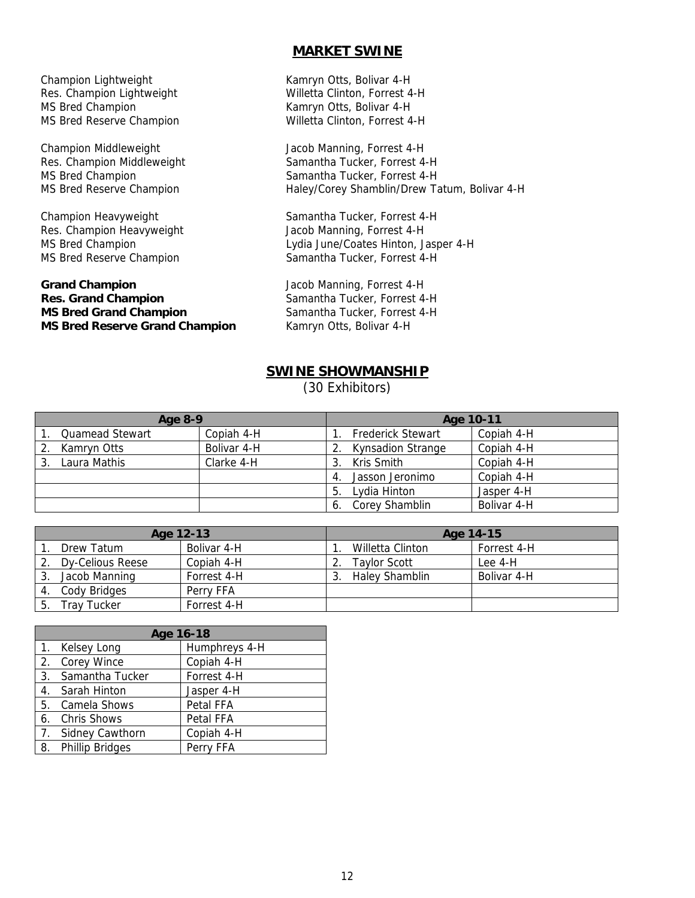#### **MARKET SWINE**

Champion Lightweight Kamryn Otts, Bolivar 4-H MS Bred Champion **Kamryn Otts, Bolivar 4-H** 

Champion Middleweight **Jacob Manning, Forrest 4-H** 

Res. Champion Heavyweight Jacob Manning, Forrest 4-H

#### **Grand Champion** Jacob Manning, Forrest 4-H **Res. Grand Champion Samantha Tucker, Forrest 4-H MS Bred Grand Champion Samantha Tucker, Forrest 4-H MS Bred Reserve Grand Champion** Kamryn Otts, Bolivar 4-H

Res. Champion Lightweight Willetta Clinton, Forrest 4-H MS Bred Reserve Champion Willetta Clinton, Forrest 4-H

Res. Champion Middleweight Samantha Tucker, Forrest 4-H MS Bred Champion Samantha Tucker, Forrest 4-H MS Bred Reserve Champion **Haley/Corey Shamblin/Drew Tatum, Bolivar 4-H** 

Champion Heavyweight Samantha Tucker, Forrest 4-H MS Bred Champion Lydia June/Coates Hinton, Jasper 4-H MS Bred Reserve Champion Samantha Tucker, Forrest 4-H

### **SWINE SHOWMANSHIP**

(30 Exhibitors)

| Age 8-9 |                        | Age 10-11   |     |                          |             |
|---------|------------------------|-------------|-----|--------------------------|-------------|
|         | <b>Quamead Stewart</b> | Copiah 4-H  |     | <b>Frederick Stewart</b> | Copiah 4-H  |
| 2.      | Kamryn Otts            | Bolivar 4-H |     | <b>Kynsadion Strange</b> | Copiah 4-H  |
| 3.      | Laura Mathis           | Clarke 4-H  | 3.  | Kris Smith               | Copiah 4-H  |
|         |                        |             | -4. | Jasson Jeronimo          | Copiah 4-H  |
|         |                        |             | 5.  | Lydia Hinton             | Jasper 4-H  |
|         |                        |             | 6.  | Corey Shamblin           | Bolivar 4-H |

| Age 12-13 |                    | Age 14-15   |  |                       |             |
|-----------|--------------------|-------------|--|-----------------------|-------------|
|           | Drew Tatum         | Bolivar 4-H |  | Willetta Clinton      | Forrest 4-H |
|           | Dy-Celious Reese   | Copiah 4-H  |  | <b>Taylor Scott</b>   | Lee 4-H     |
|           | Jacob Manning      | Forrest 4-H |  | <b>Haley Shamblin</b> | Bolivar 4-H |
|           | Cody Bridges       | Perry FFA   |  |                       |             |
|           | <b>Trav Tucker</b> | Forrest 4-H |  |                       |             |

|                  | Age 16-18              |               |  |  |
|------------------|------------------------|---------------|--|--|
|                  | 1. Kelsey Long         | Humphreys 4-H |  |  |
| 2.               | Corey Wince            | Copiah 4-H    |  |  |
| 3.               | Samantha Tucker        | Forrest 4-H   |  |  |
| 4.               | Sarah Hinton           | Jasper 4-H    |  |  |
| 5.               | Camela Shows           | Petal FFA     |  |  |
| 6.               | <b>Chris Shows</b>     | Petal FFA     |  |  |
| $\overline{7}$ . | Sidney Cawthorn        | Copiah 4-H    |  |  |
| 8.               | <b>Phillip Bridges</b> | Perry FFA     |  |  |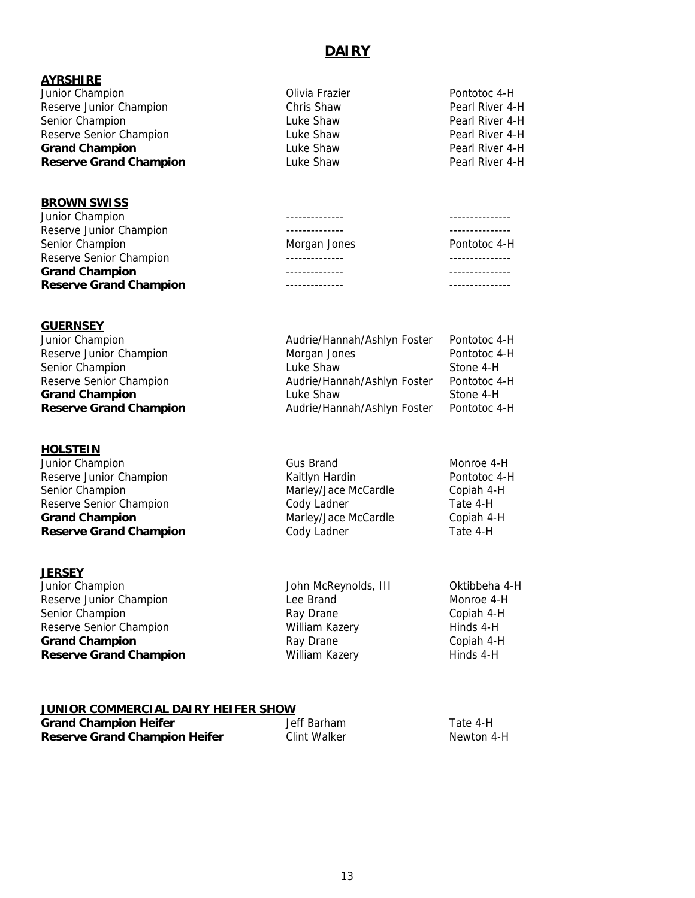# **DAIRY**

| <b>AYRSHIRE</b>               |                |                 |
|-------------------------------|----------------|-----------------|
| Junior Champion               | Olivia Frazier | Pontotoc 4-H    |
| Reserve Junior Champion       | Chris Shaw     | Pearl River 4-H |
| Senior Champion               | Luke Shaw      | Pearl River 4-H |
| Reserve Senior Champion       | Luke Shaw      | Pearl River 4-H |
| <b>Grand Champion</b>         | Luke Shaw      | Pearl River 4-H |
| <b>Reserve Grand Champion</b> | Luke Shaw      | Pearl River 4-H |

| <b></b>                       |              |              |
|-------------------------------|--------------|--------------|
| Junior Champion               |              |              |
| Reserve Junior Champion       |              |              |
| Senior Champion               | Morgan Jones | Pontotoc 4-H |
| Reserve Senior Champion       |              |              |
| <b>Grand Champion</b>         |              |              |
| <b>Reserve Grand Champion</b> |              |              |
|                               |              |              |

#### **GUERNSEY**

**BROWN SWISS**

| Junior Champion               | Audrie/Hannah/Ashlyn Foster | Pontotoc 4-H |
|-------------------------------|-----------------------------|--------------|
| Reserve Junior Champion       | Morgan Jones                | Pontotoc 4-H |
| Senior Champion               | Luke Shaw                   | Stone 4-H    |
| Reserve Senior Champion       | Audrie/Hannah/Ashlyn Foster | Pontotoc 4-H |
| <b>Grand Champion</b>         | Luke Shaw                   | Stone 4-H    |
| <b>Reserve Grand Champion</b> | Audrie/Hannah/Ashlyn Foster | Pontotoc 4-H |
|                               |                             |              |

#### **HOLSTEIN**

| Junior Champion               | <b>Gus Brand</b>     | Monroe 4-H   |
|-------------------------------|----------------------|--------------|
| Reserve Junior Champion       | Kaitlyn Hardin       | Pontotoc 4-H |
| Senior Champion               | Marley/Jace McCardle | Copiah 4-H   |
| Reserve Senior Champion       | Cody Ladner          | Tate 4-H     |
| <b>Grand Champion</b>         | Marley/Jace McCardle | Copiah 4-H   |
| <b>Reserve Grand Champion</b> | Cody Ladner          | Tate 4-H     |

#### **JERSEY**

| Junior Champion               | John McReynolds, III | Oktibbeha 4-H |
|-------------------------------|----------------------|---------------|
| Reserve Junior Champion       | Lee Brand            | Monroe 4-H    |
| Senior Champion               | Ray Drane            | Copiah 4-H    |
| Reserve Senior Champion       | William Kazery       | Hinds 4-H     |
| <b>Grand Champion</b>         | Ray Drane            | Copiah 4-H    |
| <b>Reserve Grand Champion</b> | William Kazery       | Hinds 4-H     |

# **JUNIOR COMMERCIAL DAIRY HEIFER SHOW**

| <b>Grand Champion Heifer</b>         | Jeff Barham  | Tate 4-H   |
|--------------------------------------|--------------|------------|
| <b>Reserve Grand Champion Heifer</b> | Clint Walker | Newton 4-H |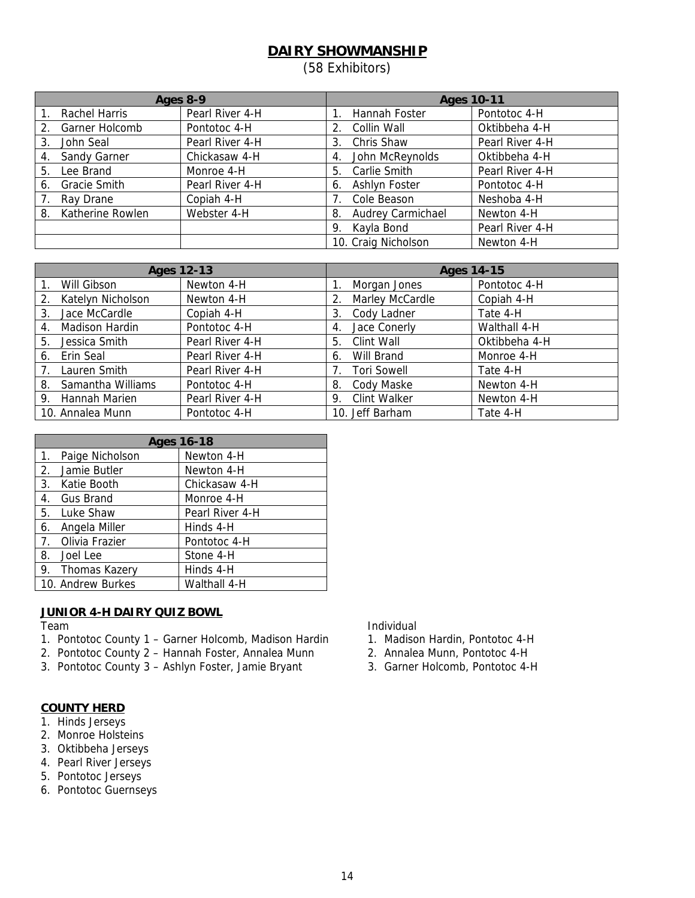# **DAIRY SHOWMANSHIP**

(58 Exhibitors)

| Ages 8-9                  |                 | <b>Ages 10-11</b>       |                 |  |
|---------------------------|-----------------|-------------------------|-----------------|--|
| Rachel Harris             | Pearl River 4-H | Hannah Foster           | Pontotoc 4-H    |  |
| Garner Holcomb<br>2.      | Pontotoc 4-H    | Collin Wall<br>2.       | Oktibbeha 4-H   |  |
| John Seal<br>3.           | Pearl River 4-H | Chris Shaw<br>3.        | Pearl River 4-H |  |
| Sandy Garner<br>4.        | Chickasaw 4-H   | John McReynolds<br>4.   | Oktibbeha 4-H   |  |
| Lee Brand<br>5.           | Monroe 4-H      | Carlie Smith<br>5.      | Pearl River 4-H |  |
| <b>Gracie Smith</b><br>6. | Pearl River 4-H | Ashlyn Foster<br>6.     | Pontotoc 4-H    |  |
| Ray Drane                 | Copiah 4-H      | Cole Beason             | Neshoba 4-H     |  |
| Katherine Rowlen<br>8.    | Webster 4-H     | Audrey Carmichael<br>8. | Newton 4-H      |  |
|                           |                 | Kayla Bond<br>9.        | Pearl River 4-H |  |
|                           |                 | 10. Craig Nicholson     | Newton 4-H      |  |

|    | <b>Ages 12-13</b>     |                 | <b>Ages 14-15</b>                       |  |  |
|----|-----------------------|-----------------|-----------------------------------------|--|--|
|    | Will Gibson           | Newton 4-H      | Pontotoc 4-H<br>Morgan Jones            |  |  |
| 2. | Katelyn Nicholson     | Newton 4-H      | Marley McCardle<br>Copiah 4-H           |  |  |
| 3. | Jace McCardle         | Copiah 4-H      | Cody Ladner<br>Tate 4-H<br>3.           |  |  |
| 4. | <b>Madison Hardin</b> | Pontotoc 4-H    | Walthall 4-H<br>Jace Conerly<br>4.      |  |  |
| 5. | Jessica Smith         | Pearl River 4-H | Clint Wall<br>Oktibbeha 4-H<br>5.       |  |  |
| 6. | Erin Seal             | Pearl River 4-H | Will Brand<br>Monroe 4-H<br>6.          |  |  |
| 7. | Lauren Smith          | Pearl River 4-H | <b>Tori Sowell</b><br>Tate 4-H          |  |  |
| 8. | Samantha Williams     | Pontotoc 4-H    | Cody Maske<br>Newton 4-H<br>8.          |  |  |
|    | 9. Hannah Marien      | Pearl River 4-H | <b>Clint Walker</b><br>Newton 4-H<br>9. |  |  |
|    | 10. Annalea Munn      | Pontotoc 4-H    | 10. Jeff Barham<br>Tate 4-H             |  |  |

| <b>Ages 16-18</b> |                   |                 |  |  |
|-------------------|-------------------|-----------------|--|--|
| $1_{\cdot}$       | Paige Nicholson   | Newton 4-H      |  |  |
| 2.                | Jamie Butler      | Newton 4-H      |  |  |
|                   | 3. Katie Booth    | Chickasaw 4-H   |  |  |
| 4.                | Gus Brand         | Monroe 4-H      |  |  |
|                   | 5. Luke Shaw      | Pearl River 4-H |  |  |
| 6.                | Angela Miller     | Hinds 4-H       |  |  |
|                   | 7. Olivia Frazier | Pontotoc 4-H    |  |  |
|                   | 8. Joel Lee       | Stone 4-H       |  |  |
|                   | 9. Thomas Kazery  | Hinds 4-H       |  |  |
|                   | 10. Andrew Burkes | Walthall 4-H    |  |  |

#### **JUNIOR 4-H DAIRY QUIZ BOWL**

- 1. Pontotoc County 1 Garner Holcomb, Madison Hardin 1. Madison Hardin, Pontotoc 4-H
- 2. Pontotoc County 2 Hannah Foster, Annalea Munn 2. Annalea Munn, Pontotoc 4-H
- 3. Pontotoc County 3 Ashlyn Foster, Jamie Bryant 3. Garner Holcomb, Pontotoc 4-H

#### **COUNTY HERD**

- 1. Hinds Jerseys
- 2. Monroe Holsteins
- 3. Oktibbeha Jerseys
- 4. Pearl River Jerseys
- 5. Pontotoc Jerseys
- 6. Pontotoc Guernseys

Team Individual

- 
- 
-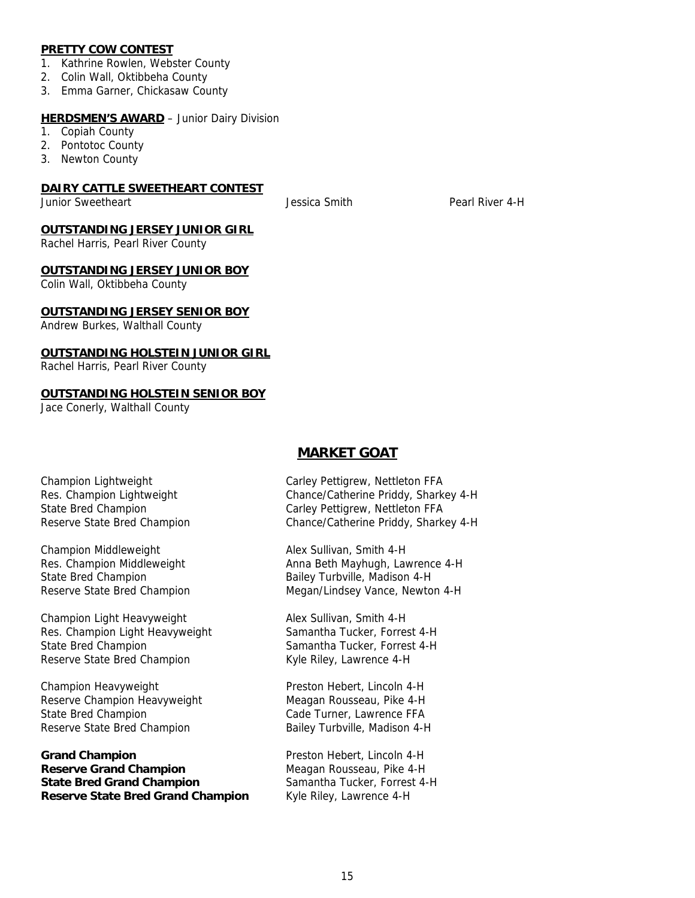#### **PRETTY COW CONTEST**

- 1. Kathrine Rowlen, Webster County
- 2. Colin Wall, Oktibbeha County
- 3. Emma Garner, Chickasaw County

#### **HERDSMEN'S AWARD** - Junior Dairy Division

- 1. Copiah County
- 2. Pontotoc County
- 3. Newton County

#### **DAIRY CATTLE SWEETHEART CONTEST**

Junior Sweetheart Jessica Smith Pearl River 4-H

#### **OUTSTANDING JERSEY JUNIOR GIRL**

Rachel Harris, Pearl River County

#### **OUTSTANDING JERSEY JUNIOR BOY**

Colin Wall, Oktibbeha County

#### **OUTSTANDING JERSEY SENIOR BOY**

Andrew Burkes, Walthall County

#### **OUTSTANDING HOLSTEIN JUNIOR GIRL**

Rachel Harris, Pearl River County

#### **OUTSTANDING HOLSTEIN SENIOR BOY**

Jace Conerly, Walthall County

#### **MARKET GOAT**

Champion Middleweight Alex Sullivan, Smith 4-H

Champion Light Heavyweight Alex Sullivan, Smith 4-H Res. Champion Light Heavyweight Samantha Tucker, Forrest 4-H State Bred Champion Samantha Tucker, Forrest 4-H Reserve State Bred Champion Kyle Riley, Lawrence 4-H

Champion Heavyweight **Preston Hebert, Lincoln 4-H** Reserve Champion Heavyweight Meagan Rousseau, Pike 4-H State Bred Champion Cade Turner, Lawrence FFA Reserve State Bred Champion Bailey Turbville, Madison 4-H

Grand Champion **Champion** Preston Hebert, Lincoln 4-H **Reserve Grand Champion** Meagan Rousseau, Pike 4-H **State Bred Grand Champion** Samantha Tucker, Forrest 4-H **Reserve State Bred Grand Champion** Kyle Riley, Lawrence 4-H

Champion Lightweight Carley Pettigrew, Nettleton FFA Res. Champion Lightweight Chance/Catherine Priddy, Sharkey 4-H State Bred Champion Carley Pettigrew, Nettleton FFA Reserve State Bred Champion Chance/Catherine Priddy, Sharkey 4-H

Res. Champion Middleweight Anna Beth Mayhugh, Lawrence 4-H State Bred Champion **Bailey Turbville, Madison 4-H** Reserve State Bred Champion Megan/Lindsey Vance, Newton 4-H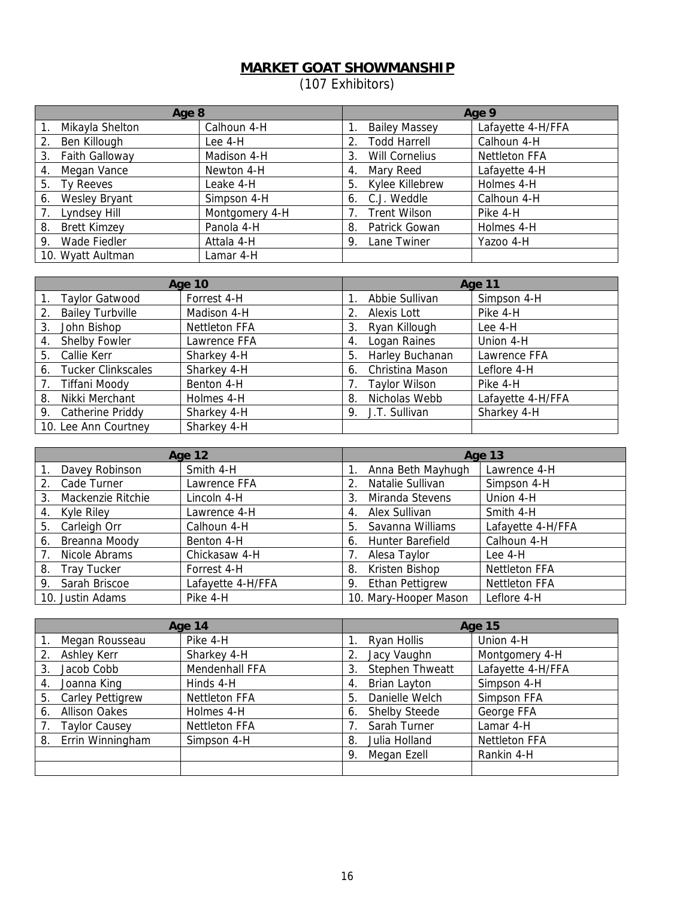### **MARKET GOAT SHOWMANSHIP**

(107 Exhibitors)

| Age 8                     |                |    | Age 9                 |                      |  |
|---------------------------|----------------|----|-----------------------|----------------------|--|
| Mikayla Shelton           | Calhoun 4-H    |    | <b>Bailey Massey</b>  | Lafayette 4-H/FFA    |  |
| Ben Killough<br>2.        | Lee 4-H        | 2. | <b>Todd Harrell</b>   | Calhoun 4-H          |  |
| Faith Galloway<br>3.      | Madison 4-H    | 3. | <b>Will Cornelius</b> | <b>Nettleton FFA</b> |  |
| Megan Vance<br>4.         | Newton 4-H     | 4. | Mary Reed             | Lafayette 4-H        |  |
| Ty Reeves<br>5.           | Leake 4-H      | 5. | Kylee Killebrew       | Holmes 4-H           |  |
| Wesley Bryant<br>6.       | Simpson 4-H    | 6. | C.J. Weddle           | Calhoun 4-H          |  |
| Lyndsey Hill              | Montgomery 4-H |    | <b>Trent Wilson</b>   | Pike 4-H             |  |
| <b>Brett Kimzey</b><br>8. | Panola 4-H     | 8. | Patrick Gowan         | Holmes 4-H           |  |
| Wade Fiedler<br>9.        | Attala 4-H     | 9. | Lane Twiner           | Yazoo 4-H            |  |
| 10. Wyatt Aultman         | Lamar 4-H      |    |                       |                      |  |

|    | <b>Age 10</b>             |                      |    | Age 11               |                   |
|----|---------------------------|----------------------|----|----------------------|-------------------|
|    | <b>Taylor Gatwood</b>     | Forrest 4-H          |    | Abbie Sullivan       | Simpson 4-H       |
| 2. | <b>Bailey Turbville</b>   | Madison 4-H          |    | Alexis Lott          | Pike 4-H          |
| 3. | John Bishop               | <b>Nettleton FFA</b> | 3. | Ryan Killough        | Lee 4-H           |
| 4. | Shelby Fowler             | Lawrence FFA         | 4. | Logan Raines         | Union 4-H         |
| 5. | Callie Kerr               | Sharkey 4-H          | 5. | Harley Buchanan      | Lawrence FFA      |
| 6. | <b>Tucker Clinkscales</b> | Sharkey 4-H          | 6. | Christina Mason      | Leflore 4-H       |
|    | <b>Tiffani Moody</b>      | Benton 4-H           |    | <b>Taylor Wilson</b> | Pike 4-H          |
| 8. | Nikki Merchant            | Holmes 4-H           | 8. | Nicholas Webb        | Lafayette 4-H/FFA |
|    | 9. Catherine Priddy       | Sharkey 4-H          |    | 9. J.T. Sullivan     | Sharkey 4-H       |
|    | 10. Lee Ann Courtney      | Sharkey 4-H          |    |                      |                   |

|                          | Age 12            |                              | <b>Age 13</b>        |
|--------------------------|-------------------|------------------------------|----------------------|
| Davey Robinson           | Smith 4-H         | Anna Beth Mayhugh            | Lawrence 4-H         |
| Cade Turner<br>$2_{-}$   | Lawrence FFA      | Natalie Sullivan             | Simpson 4-H          |
| Mackenzie Ritchie<br>3.  | Lincoln 4-H       | Miranda Stevens<br>3.        | Union 4-H            |
| Kyle Riley<br>4.         | Lawrence 4-H      | Alex Sullivan<br>4.          | Smith 4-H            |
| Carleigh Orr<br>5.       | Calhoun 4-H       | Savanna Williams<br>5.       | Lafayette 4-H/FFA    |
| Breanna Moody<br>6.      | Benton 4-H        | Hunter Barefield<br>6.       | Calhoun 4-H          |
| Nicole Abrams            | Chickasaw 4-H     | Alesa Taylor                 | Lee 4-H              |
| <b>Tray Tucker</b><br>8. | Forrest 4-H       | Kristen Bishop<br>8.         | <b>Nettleton FFA</b> |
| Sarah Briscoe<br>9.      | Lafayette 4-H/FFA | <b>Ethan Pettigrew</b><br>9. | <b>Nettleton FFA</b> |
| 10. Justin Adams         | Pike 4-H          | 10. Mary-Hooper Mason        | Leflore 4-H          |

|    | Age 14                  |                      |    | <b>Age 15</b>          |                      |  |
|----|-------------------------|----------------------|----|------------------------|----------------------|--|
|    | Megan Rousseau          | Pike 4-H             |    | Ryan Hollis            | Union 4-H            |  |
| 2. | Ashley Kerr             | Sharkey 4-H          |    | Jacy Vaughn            | Montgomery 4-H       |  |
| 3. | Jacob Cobb              | Mendenhall FFA       | 3. | <b>Stephen Thweatt</b> | Lafayette 4-H/FFA    |  |
| 4. | Joanna King             | Hinds 4-H            | 4. | Brian Layton           | Simpson 4-H          |  |
| 5. | <b>Carley Pettigrew</b> | <b>Nettleton FFA</b> | 5. | Danielle Welch         | Simpson FFA          |  |
| 6. | <b>Allison Oakes</b>    | Holmes 4-H           | 6. | <b>Shelby Steede</b>   | George FFA           |  |
|    | <b>Taylor Causey</b>    | <b>Nettleton FFA</b> |    | Sarah Turner           | Lamar 4-H            |  |
| 8. | Errin Winningham        | Simpson 4-H          | 8. | Julia Holland          | <b>Nettleton FFA</b> |  |
|    |                         |                      | 9. | Megan Ezell            | Rankin 4-H           |  |
|    |                         |                      |    |                        |                      |  |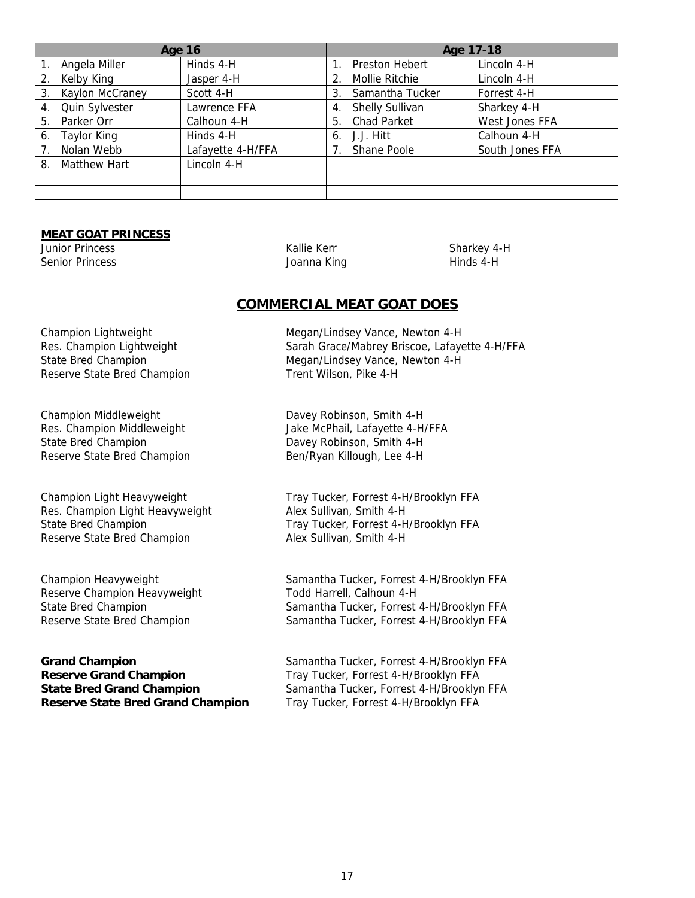| <b>Age 16</b>            |                   | Age 17-18                    |                 |  |
|--------------------------|-------------------|------------------------------|-----------------|--|
| Angela Miller            | Hinds 4-H         | Preston Hebert               | Lincoln 4-H     |  |
| Kelby King               | Jasper 4-H        | Mollie Ritchie               | Lincoln 4-H     |  |
| Kaylon McCraney<br>3.    | Scott 4-H         | Samantha Tucker<br>3.        | Forrest 4-H     |  |
| Quin Sylvester<br>4.     | Lawrence FFA      | <b>Shelly Sullivan</b><br>4. | Sharkey 4-H     |  |
| Parker Orr<br>5.         | Calhoun 4-H       | <b>Chad Parket</b><br>5.     | West Jones FFA  |  |
| <b>Taylor King</b><br>6. | Hinds 4-H         | J.J. Hitt<br>6.              | Calhoun 4-H     |  |
| Nolan Webb               | Lafayette 4-H/FFA | Shane Poole                  | South Jones FFA |  |
| Matthew Hart<br>8.       | Lincoln 4-H       |                              |                 |  |
|                          |                   |                              |                 |  |
|                          |                   |                              |                 |  |

#### **MEAT GOAT PRINCESS**

Senior Princess and The Senior Princess and The Senior Princess and The Joanna King Hinds 4-H

Junior Princess and the Sharkey 4-H Community Communication of the Sharkey 4-H Communication of the Sharkey 4-H

#### **COMMERCIAL MEAT GOAT DOES**

Reserve State Bred Champion Trent Wilson, Pike 4-H

Champion Middleweight Davey Robinson, Smith 4-H State Bred Champion **Davey Robinson, Smith 4-H** Reserve State Bred Champion Ben/Ryan Killough, Lee 4-H

Res. Champion Light Heavyweight Alex Sullivan, Smith 4-H Reserve State Bred Champion **Alex Sullivan, Smith 4-H** 

Reserve Champion Heavyweight Todd Harrell, Calhoun 4-H

**Reserve Grand Champion** Tray Tucker, Forrest 4-H/Brooklyn FFA **Reserve State Bred Grand Champion** Tray Tucker, Forrest 4-H/Brooklyn FFA

Champion Lightweight Megan/Lindsey Vance, Newton 4-H Res. Champion Lightweight Sarah Grace/Mabrey Briscoe, Lafayette 4-H/FFA State Bred Champion Megan/Lindsey Vance, Newton 4-H

Res. Champion Middleweight Jake McPhail, Lafayette 4-H/FFA

Champion Light Heavyweight Tray Tucker, Forrest 4-H/Brooklyn FFA State Bred Champion Tray Tucker, Forrest 4-H/Brooklyn FFA

Champion Heavyweight Samantha Tucker, Forrest 4-H/Brooklyn FFA State Bred Champion Samantha Tucker, Forrest 4-H/Brooklyn FFA Reserve State Bred Champion Samantha Tucker, Forrest 4-H/Brooklyn FFA

**Grand Champion** Samantha Tucker, Forrest 4-H/Brooklyn FFA **State Bred Grand Champion** Samantha Tucker, Forrest 4-H/Brooklyn FFA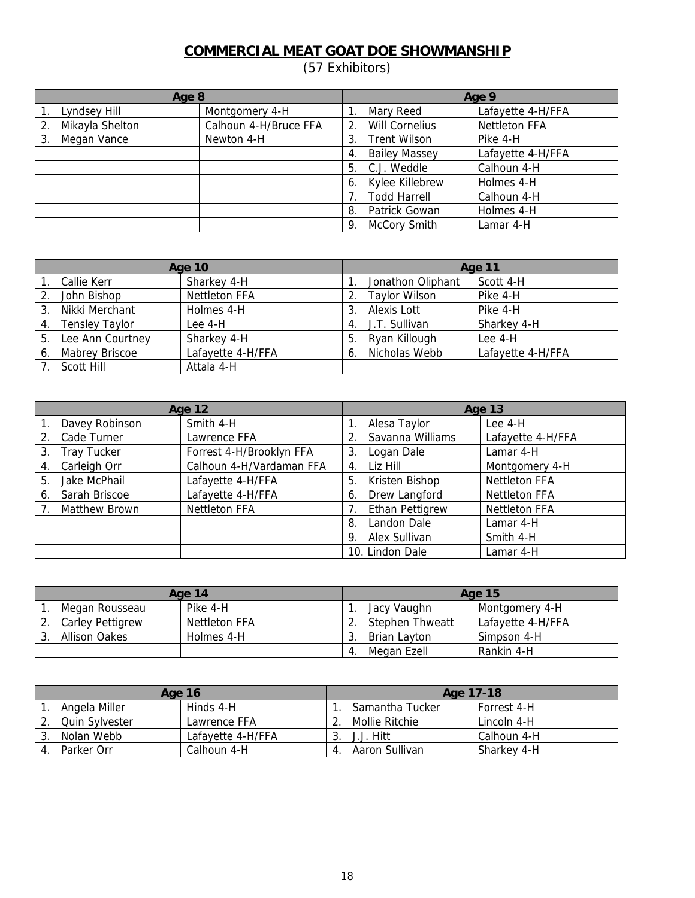# **COMMERCIAL MEAT GOAT DOE SHOWMANSHIP**

(57 Exhibitors)

| Age 8           |                       |                             | Age 9                |
|-----------------|-----------------------|-----------------------------|----------------------|
| Lyndsey Hill    | Montgomery 4-H        | Mary Reed                   | Lafayette 4-H/FFA    |
| Mikayla Shelton | Calhoun 4-H/Bruce FFA | <b>Will Cornelius</b><br>2. | <b>Nettleton FFA</b> |
| Megan Vance     | Newton 4-H            | <b>Trent Wilson</b><br>3.   | Pike 4-H             |
|                 |                       | <b>Bailey Massey</b><br>4.  | Lafayette 4-H/FFA    |
|                 |                       | C.J. Weddle<br>5.           | Calhoun 4-H          |
|                 |                       | Kylee Killebrew<br>6.       | Holmes 4-H           |
|                 |                       | <b>Todd Harrell</b>         | Calhoun 4-H          |
|                 |                       | Patrick Gowan<br>8.         | Holmes 4-H           |
|                 |                       | <b>McCory Smith</b><br>9.   | Lamar 4-H            |

| <b>Age 10</b> |                       |                      |    | Age 11               |                   |
|---------------|-----------------------|----------------------|----|----------------------|-------------------|
|               | Callie Kerr           | Sharkey 4-H          |    | Jonathon Oliphant    | Scott 4-H         |
|               | John Bishop           | <b>Nettleton FFA</b> |    | <b>Taylor Wilson</b> | Pike 4-H          |
| 3.            | Nikki Merchant        | Holmes 4-H           | 3. | Alexis Lott          | Pike 4-H          |
| 4.            | <b>Tensley Taylor</b> | Lee 4-H              | 4. | J.T. Sullivan        | Sharkey 4-H       |
| 5.            | Lee Ann Courtney      | Sharkey 4-H          | 5. | Ryan Killough        | Lee 4-H           |
| 6.            | Mabrey Briscoe        | Lafayette 4-H/FFA    | 6. | Nicholas Webb        | Lafayette 4-H/FFA |
|               | Scott Hill            | Attala 4-H           |    |                      |                   |

|                          | <b>Age 12</b>            |                        | <b>Age 13</b>        |
|--------------------------|--------------------------|------------------------|----------------------|
| Davey Robinson           | Smith 4-H                | Alesa Taylor           | Lee 4-H              |
| Cade Turner<br>2.        | Lawrence FFA             | Savanna Williams<br>2. | Lafayette 4-H/FFA    |
| <b>Tray Tucker</b><br>3. | Forrest 4-H/Brooklyn FFA | Logan Dale<br>3.       | Lamar 4-H            |
| Carleigh Orr<br>4.       | Calhoun 4-H/Vardaman FFA | Liz Hill<br>4.         | Montgomery 4-H       |
| Jake McPhail<br>5.       | Lafayette 4-H/FFA        | Kristen Bishop<br>5.   | <b>Nettleton FFA</b> |
| Sarah Briscoe<br>6.      | Lafayette 4-H/FFA        | Drew Langford<br>6.    | <b>Nettleton FFA</b> |
| Matthew Brown            | <b>Nettleton FFA</b>     | Ethan Pettigrew        | <b>Nettleton FFA</b> |
|                          |                          | Landon Dale<br>8.      | Lamar 4-H            |
|                          |                          | Alex Sullivan<br>9.    | Smith 4-H            |
|                          |                          | 10. Lindon Dale        | Lamar 4-H            |

| Age 14 |                         | <b>Age 15</b> |   |                        |                   |
|--------|-------------------------|---------------|---|------------------------|-------------------|
|        | Megan Rousseau          | Pike 4-H      |   | Jacy Vaughn            | Montgomery 4-H    |
|        | <b>Carley Pettigrew</b> | Nettleton FFA |   | <b>Stephen Thweatt</b> | Lafayette 4-H/FFA |
|        | Allison Oakes           | Holmes 4-H    |   | Brian Layton           | Simpson 4-H       |
|        |                         |               | 4 | Megan Ezell            | Rankin 4-H        |

|   | Age 16                |                   |  | Age 17-18       |             |  |
|---|-----------------------|-------------------|--|-----------------|-------------|--|
|   | Angela Miller         | Hinds 4-H         |  | Samantha Tucker | Forrest 4-H |  |
|   | <b>Quin Sylvester</b> | Lawrence FFA      |  | Mollie Ritchie  | Lincoln 4-H |  |
| J | Nolan Webb            | Lafayette 4-H/FFA |  | . Hitt          | Calhoun 4-H |  |
|   | Parker Orr            | Calhoun 4-H       |  | Aaron Sullivan  | Sharkey 4-H |  |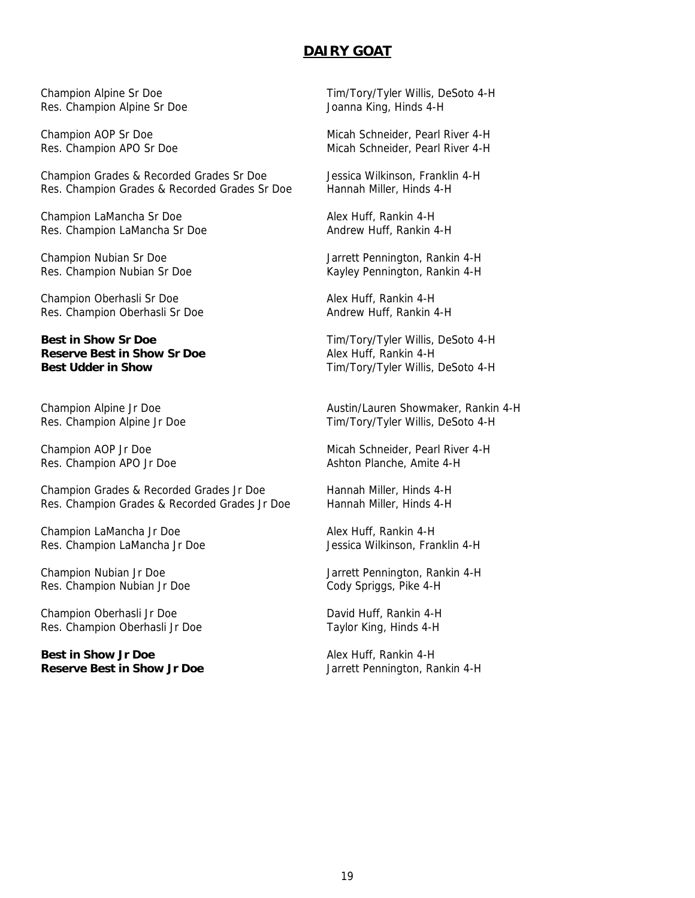#### **DAIRY GOAT**

Res. Champion Alpine Sr Doe

Champion Grades & Recorded Grades Sr Doe Jessica Wilkinson, Franklin 4-H Res. Champion Grades & Recorded Grades Sr Doe Hannah Miller, Hinds 4-H

Champion LaMancha Sr Doe Alex Huff, Rankin 4-H Res. Champion LaMancha Sr Doe Andrew Huff, Rankin 4-H

Champion Oberhasli Sr Doe Alex Huff, Rankin 4-H Res. Champion Oberhasli Sr Doe Andrew Huff, Rankin 4-H

**Best in Show Sr Doe** Tim/Tory/Tyler Willis, DeSoto 4-H **Reserve Best in Show Sr Doe** Alex Huff, Rankin 4-H

Champion Grades & Recorded Grades Jr Doe Hannah Miller, Hinds 4-H Res. Champion Grades & Recorded Grades Jr Doe Hannah Miller, Hinds 4-H

Champion LaMancha Jr Doe Alex Huff, Rankin 4-H Res. Champion LaMancha Jr Doe Jessica Wilkinson, Franklin 4-H

Res. Champion Nubian Jr Doe

Champion Oberhasli Jr Doe David Huff, Rankin 4-H Res. Champion Oberhasli Jr Doe Taylor King, Hinds 4-H

**Best in Show Jr Doe** Alex Huff, Rankin 4-H **Reserve Best in Show Jr Doe** Jarrett Pennington, Rankin 4-H

Champion Alpine Sr Doe Tim/Tory/Tyler Willis, DeSoto 4-H<br>
Res. Champion Alpine Sr Doe Joanna King, Hinds 4-H

Champion AOP Sr Doe Micah Schneider, Pearl River 4-H Res. Champion APO Sr Doe Micah Schneider, Pearl River 4-H

Champion Nubian Sr Doe Jarrett Pennington, Rankin 4-H Res. Champion Nubian Sr Doe Kayley Pennington, Rankin 4-H

**Best Udder in Show** Tim/Tory/Tyler Willis, DeSoto 4-H

Champion Alpine Jr Doe **Austin/Lauren Showmaker, Rankin 4-H** Austin/Lauren Showmaker, Rankin 4-H Res. Champion Alpine Jr Doe Tim/Tory/Tyler Willis, DeSoto 4-H

Champion AOP Jr Doe **Micah Schneider, Pearl River 4-H** Res. Champion APO Jr Doe Ashton Planche, Amite 4-H

Champion Nubian Jr Doe Jarrett Pennington, Rankin 4-H<br>
Res. Champion Nubian Jr Doe Gody Spriggs, Pike 4-H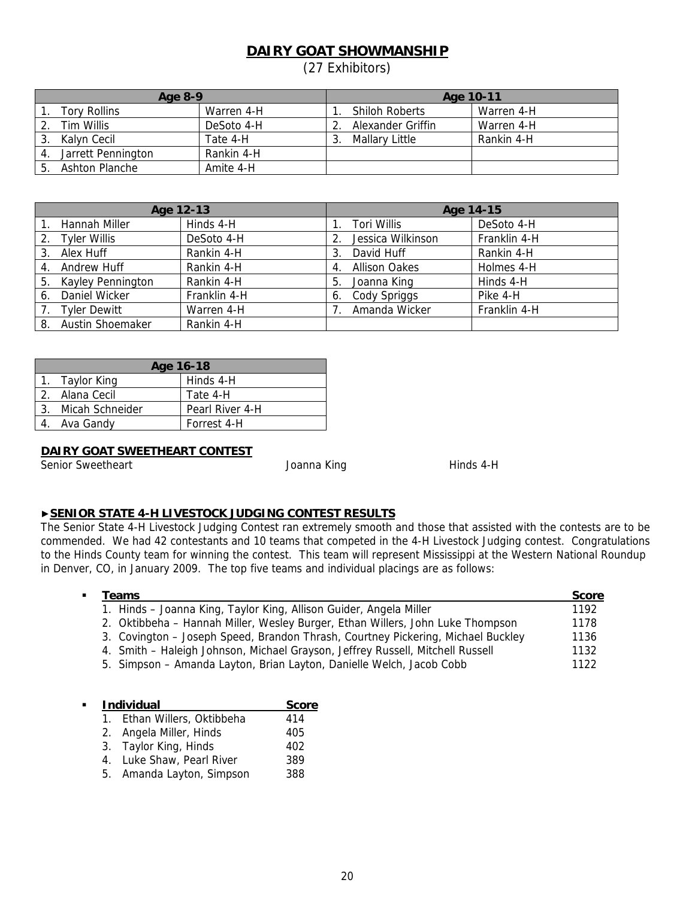# **DAIRY GOAT SHOWMANSHIP**

(27 Exhibitors)

| Age 8-9             |            |  | Age 10-11             |            |  |
|---------------------|------------|--|-----------------------|------------|--|
| <b>Tory Rollins</b> | Warren 4-H |  | <b>Shiloh Roberts</b> | Warren 4-H |  |
| Tim Willis          | DeSoto 4-H |  | Alexander Griffin     | Warren 4-H |  |
| Kalyn Cecil         | Tate 4-H   |  | Mallary Little        | Rankin 4-H |  |
| Jarrett Pennington  | Rankin 4-H |  |                       |            |  |
| Ashton Planche      | Amite 4-H  |  |                       |            |  |

| Age 12-13 |                      |              | Age 14-15                                |  |
|-----------|----------------------|--------------|------------------------------------------|--|
|           | Hannah Miller        | Hinds 4-H    | Tori Willis<br>DeSoto 4-H                |  |
|           | 2. Tyler Willis      | DeSoto 4-H   | Franklin 4-H<br>Jessica Wilkinson        |  |
| 3.        | Alex Huff            | Rankin 4-H   | Rankin 4-H<br>David Huff<br>3.           |  |
| 4.        | Andrew Huff          | Rankin 4-H   | Holmes 4-H<br><b>Allison Oakes</b><br>4. |  |
|           | 5. Kayley Pennington | Rankin 4-H   | Hinds 4-H<br>Joanna King<br>5.           |  |
|           | 6. Daniel Wicker     | Franklin 4-H | Pike 4-H<br>Cody Spriggs<br>6.           |  |
|           | <b>Tyler Dewitt</b>  | Warren 4-H   | Franklin 4-H<br>Amanda Wicker            |  |
| 8.        | Austin Shoemaker     | Rankin 4-H   |                                          |  |

| Age 16-18 |                    |                 |
|-----------|--------------------|-----------------|
|           | 1. Taylor King     | Hinds 4-H       |
|           | 2. Alana Cecil     | Tate 4-H        |
|           | 3. Micah Schneider | Pearl River 4-H |
|           | 4. Ava Gandy       | Forrest 4-H     |

#### **DAIRY GOAT SWEETHEART CONTEST**

Senior Sweetheart **Superinten and Senior Sweetheart** Joanna King **Hinds 4-H** Hinds 4-H

#### ▶**SENIOR STATE 4-H LIVESTOCK JUDGING CONTEST RESULTS**

The Senior State 4-H Livestock Judging Contest ran extremely smooth and those that assisted with the contests are to be commended. We had 42 contestants and 10 teams that competed in the 4-H Livestock Judging contest. Congratulations to the Hinds County team for winning the contest. This team will represent Mississippi at the Western National Roundup in Denver, CO, in January 2009. The top five teams and individual placings are as follows:

| Teams                                                                            | Score |
|----------------------------------------------------------------------------------|-------|
| 1. Hinds – Joanna King, Taylor King, Allison Guider, Angela Miller               | 1192  |
| 2. Oktibbeha - Hannah Miller, Wesley Burger, Ethan Willers, John Luke Thompson   | 1178  |
| 3. Covington – Joseph Speed, Brandon Thrash, Courtney Pickering, Michael Buckley | 1136  |
| 4. Smith – Haleigh Johnson, Michael Grayson, Jeffrey Russell, Mitchell Russell   | 1132  |
| 5. Simpson – Amanda Layton, Brian Layton, Danielle Welch, Jacob Cobb             | 1122  |
|                                                                                  |       |

| <b>Individual</b>           |     |
|-----------------------------|-----|
| 1. Ethan Willers, Oktibbeha | 414 |
| 2. Angela Miller, Hinds     | 405 |
| 3. Taylor King, Hinds       | 402 |
| 4. Luke Shaw, Pearl River   | 389 |
| 5. Amanda Layton, Simpson   | 388 |
|                             |     |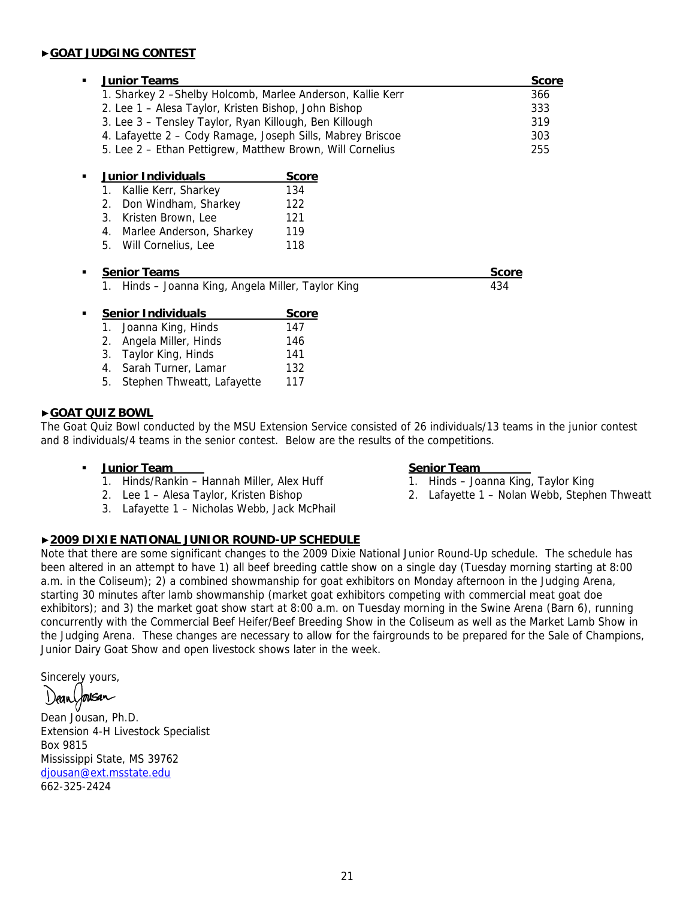#### ▶**GOAT JUDGING CONTEST**

| ٠ | <b>Junior Teams</b>                                         | <b>Score</b> |     |
|---|-------------------------------------------------------------|--------------|-----|
|   | 1. Sharkey 2 - Shelby Holcomb, Marlee Anderson, Kallie Kerr | 366          |     |
|   | 2. Lee 1 – Alesa Taylor, Kristen Bishop, John Bishop        | 333<br>319   |     |
|   | 3. Lee 3 – Tensley Taylor, Ryan Killough, Ben Killough      |              |     |
|   | 4. Lafayette 2 - Cody Ramage, Joseph Sills, Mabrey Briscoe  | 303          |     |
|   | 5. Lee 2 - Ethan Pettigrew, Matthew Brown, Will Cornelius   |              | 255 |
|   | <b>Junior Individuals</b>                                   | <u>Score</u> |     |
|   | Kallie Kerr, Sharkey<br>1.                                  | 134          |     |
|   | 2. Don Windham, Sharkey                                     | 122          |     |
|   | 3. Kristen Brown, Lee                                       | 121          |     |
|   | 4. Marlee Anderson, Sharkey                                 | 119          |     |
|   | 5. Will Cornelius, Lee                                      | 118          |     |
|   | <b>Senior Teams</b>                                         | <u>Score</u> |     |
|   | 1. Hinds – Joanna King, Angela Miller, Taylor King          |              | 434 |
|   | <b>Senior Individuals</b>                                   | <b>Score</b> |     |
|   | Joanna King, Hinds                                          | 147          |     |
|   | 2. Angela Miller, Hinds                                     | 146          |     |
|   | 3. Taylor King, Hinds                                       | 141          |     |
|   | Sarah Turner, Lamar<br>4.                                   | 132          |     |

5. Stephen Thweatt, Lafayette 117

#### ▶**GOAT QUIZ BOWL**

The Goat Quiz Bowl conducted by the MSU Extension Service consisted of 26 individuals/13 teams in the junior contest and 8 individuals/4 teams in the senior contest. Below are the results of the competitions.

#### **Junior Team Senior Team Senior Team**

- 1. Hinds/Rankin Hannah Miller, Alex Huff 1. Hinds Joanna King, Taylor King
- 
- 3. Lafayette 1 Nicholas Webb, Jack McPhail

#### ▶**2009 DIXIE NATIONAL JUNIOR ROUND-UP SCHEDULE**

Note that there are some significant changes to the 2009 Dixie National Junior Round-Up schedule. The schedule has been altered in an attempt to have 1) all beef breeding cattle show on a single day (Tuesday morning starting at 8:00 a.m. in the Coliseum); 2) a combined showmanship for goat exhibitors on Monday afternoon in the Judging Arena, starting 30 minutes after lamb showmanship (market goat exhibitors competing with commercial meat goat doe exhibitors); and 3) the market goat show start at 8:00 a.m. on Tuesday morning in the Swine Arena (Barn 6), running concurrently with the Commercial Beef Heifer/Beef Breeding Show in the Coliseum as well as the Market Lamb Show in the Judging Arena. These changes are necessary to allow for the fairgrounds to be prepared for the Sale of Champions, Junior Dairy Goat Show and open livestock shows later in the week.

Sincerely yours,

housan

Dean Jousan, Ph.D. Extension 4-H Livestock Specialist Box 9815 Mississippi State, MS 39762 djousan@ext.msstate.edu 662-325-2424

- 
- 2. Lee 1 Alesa Taylor, Kristen Bishop 2. Lafayette 1 Nolan Webb, Stephen Thweatt